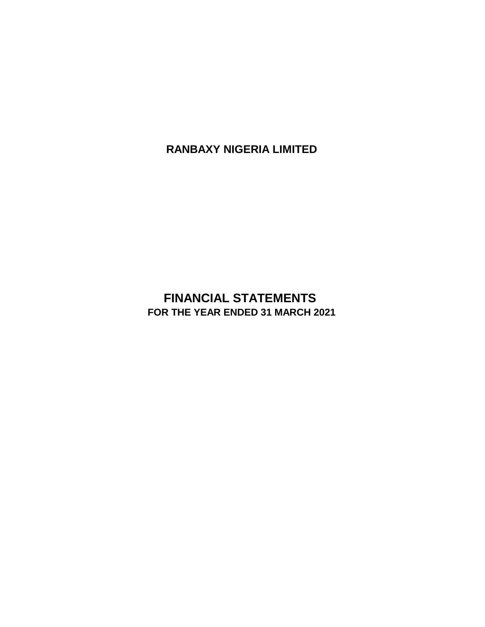# **FINANCIAL STATEMENTS FOR THE YEAR ENDED 31 MARCH 2021**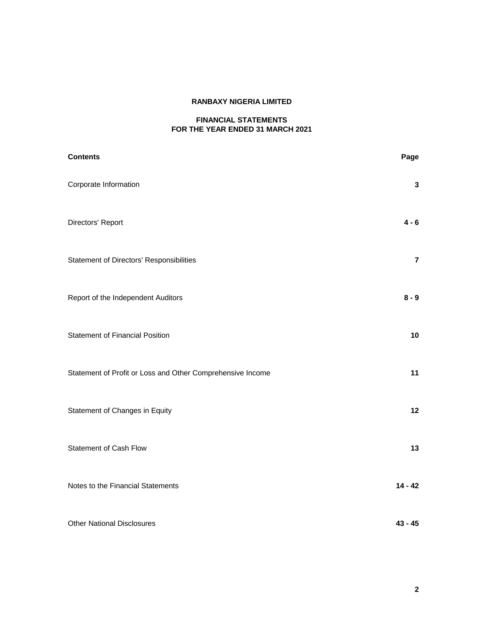# **FINANCIAL STATEMENTS FOR THE YEAR ENDED 31 MARCH 2021**

| <b>Contents</b>                                            | Page           |
|------------------------------------------------------------|----------------|
| Corporate Information                                      | $\mathbf{3}$   |
| Directors' Report                                          | $4 - 6$        |
| Statement of Directors' Responsibilities                   | $\overline{7}$ |
| Report of the Independent Auditors                         | $8 - 9$        |
| <b>Statement of Financial Position</b>                     | 10             |
| Statement of Profit or Loss and Other Comprehensive Income | 11             |
| Statement of Changes in Equity                             | 12             |
| <b>Statement of Cash Flow</b>                              | 13             |
| Notes to the Financial Statements                          | $14 - 42$      |
| <b>Other National Disclosures</b>                          | $43 - 45$      |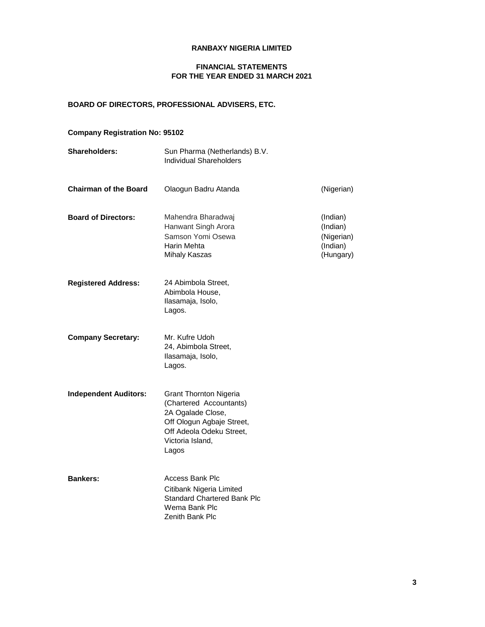# **FOR THE YEAR ENDED 31 MARCH 2021 FINANCIAL STATEMENTS**

# **BOARD OF DIRECTORS, PROFESSIONAL ADVISERS, ETC.**

# **Company Registration No: 95102**

| Shareholders:                | Sun Pharma (Netherlands) B.V.<br><b>Individual Shareholders</b>                                                                                                     |                                                             |
|------------------------------|---------------------------------------------------------------------------------------------------------------------------------------------------------------------|-------------------------------------------------------------|
| <b>Chairman of the Board</b> | Olaogun Badru Atanda                                                                                                                                                | (Nigerian)                                                  |
| <b>Board of Directors:</b>   | Mahendra Bharadwaj<br>Hanwant Singh Arora<br>Samson Yomi Osewa<br>Harin Mehta<br>Mihaly Kaszas                                                                      | (Indian)<br>(Indian)<br>(Nigerian)<br>(Indian)<br>(Hungary) |
| <b>Registered Address:</b>   | 24 Abimbola Street,<br>Abimbola House,<br>Ilasamaja, Isolo,<br>Lagos.                                                                                               |                                                             |
| <b>Company Secretary:</b>    | Mr. Kufre Udoh<br>24, Abimbola Street,<br>Ilasamaja, Isolo,<br>Lagos.                                                                                               |                                                             |
| <b>Independent Auditors:</b> | <b>Grant Thornton Nigeria</b><br>(Chartered Accountants)<br>2A Ogalade Close,<br>Off Ologun Agbaje Street,<br>Off Adeola Odeku Street,<br>Victoria Island,<br>Lagos |                                                             |
| <b>Bankers:</b>              | Access Bank Plc<br>Citibank Nigeria Limited<br><b>Standard Chartered Bank Plc</b><br>Wema Bank Plc<br>Zenith Bank Plc                                               |                                                             |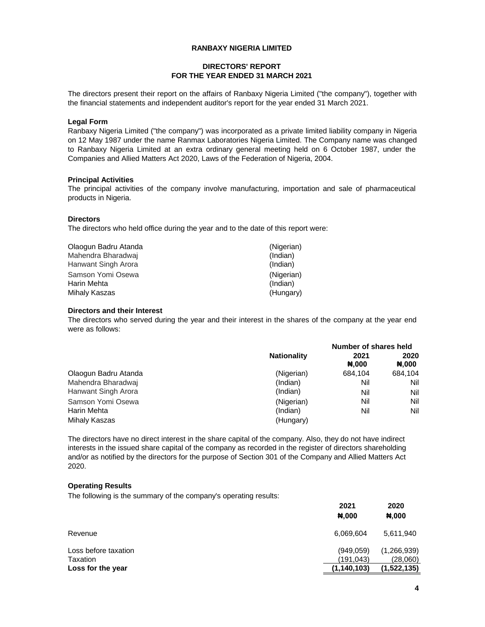# **DIRECTORS' REPORT FOR THE YEAR ENDED 31 MARCH 2021**

The directors present their report on the affairs of Ranbaxy Nigeria Limited ("the company"), together with the financial statements and independent auditor's report for the year ended 31 March 2021.

## **Legal Form**

Ranbaxy Nigeria Limited ("the company") was incorporated as a private limited liability company in Nigeria on 12 May 1987 under the name Ranmax Laboratories Nigeria Limited. The Company name was changed to Ranbaxy Nigeria Limited at an extra ordinary general meeting held on 6 October 1987, under the Companies and Allied Matters Act 2020, Laws of the Federation of Nigeria, 2004.

## **Principal Activities**

The principal activities of the company involve manufacturing, importation and sale of pharmaceutical products in Nigeria.

## **Directors**

The directors who held office during the year and to the date of this report were:

| Olaogun Badru Atanda | (Nigerian) |
|----------------------|------------|
| Mahendra Bharadwaj   | (Indian)   |
| Hanwant Singh Arora  | (Indian)   |
| Samson Yomi Osewa    | (Nigerian) |
| Harin Mehta          | (Indian)   |
| Mihaly Kaszas        | (Hungary)  |

## **Directors and their Interest**

The directors who served during the year and their interest in the shares of the company at the year end were as follows:

|                      |                    | Number of shares held |               |  |
|----------------------|--------------------|-----------------------|---------------|--|
|                      | <b>Nationality</b> | 2021<br>#.000         | 2020<br>#,000 |  |
| Olaogun Badru Atanda | (Nigerian)         | 684,104               | 684.104       |  |
| Mahendra Bharadwaj   | (Indian)           | Nil                   | Nil           |  |
| Hanwant Singh Arora  | (Indian)           | Nil                   | Nil           |  |
| Samson Yomi Osewa    | (Nigerian)         | Nil                   | Nil           |  |
| Harin Mehta          | (Indian)           | Nil                   | Nil           |  |
| Mihaly Kaszas        | (Hungary)          |                       |               |  |

The directors have no direct interest in the share capital of the company. Also, they do not have indirect interests in the issued share capital of the company as recorded in the register of directors shareholding and/or as notified by the directors for the purpose of Section 301 of the Company and Allied Matters Act 2020.

## **Operating Results**

The following is the summary of the company's operating results:

| #,000         | 2020<br>#,000 |
|---------------|---------------|
| 6,069,604     | 5,611,940     |
| (949,059)     | (1,266,939)   |
| (191, 043)    | (28,060)      |
| (1, 140, 103) | (1,522,135)   |
|               | 2021          |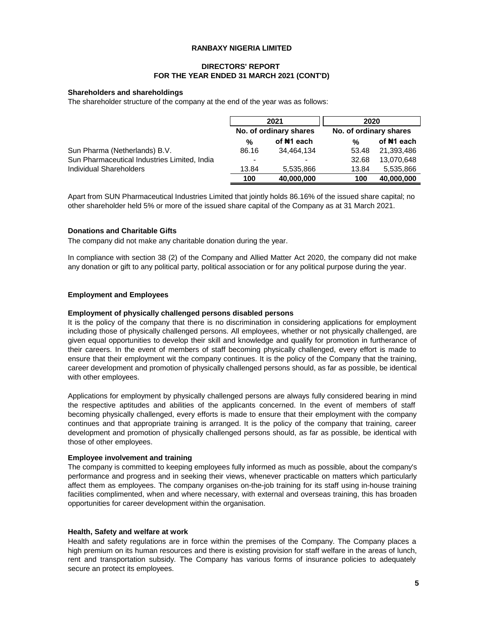# **DIRECTORS' REPORT FOR THE YEAR ENDED 31 MARCH 2021 (CONT'D)**

## **Shareholders and shareholdings**

The shareholder structure of the company at the end of the year was as follows:

|                                              | 2021                   |            | 2020                   |            |
|----------------------------------------------|------------------------|------------|------------------------|------------|
|                                              | No. of ordinary shares |            | No. of ordinary shares |            |
|                                              | %                      | of #1 each | %                      | of #1 each |
| Sun Pharma (Netherlands) B.V.                | 86.16                  | 34.464.134 | 53.48                  | 21.393.486 |
| Sun Pharmaceutical Industries Limited, India | ٠                      |            | 32.68                  | 13,070,648 |
| Individual Shareholders                      | 13.84                  | 5,535,866  | 13.84                  | 5,535,866  |
|                                              | 100                    | 40,000,000 | 100                    | 40,000,000 |

Apart from SUN Pharmaceutical Industries Limited that jointly holds 86.16% of the issued share capital; no other shareholder held 5% or more of the issued share capital of the Company as at 31 March 2021.

## **Donations and Charitable Gifts**

The company did not make any charitable donation during the year.

In compliance with section 38 (2) of the Company and Allied Matter Act 2020, the company did not make any donation or gift to any political party, political association or for any political purpose during the year.

## **Employment and Employees**

## **Employment of physically challenged persons disabled persons**

It is the policy of the company that there is no discrimination in considering applications for employment including those of physically challenged persons. All employees, whether or not physically challenged, are given equal opportunities to develop their skill and knowledge and qualify for promotion in furtherance of their careers. In the event of members of staff becoming physically challenged, every effort is made to ensure that their employment wit the company continues. It is the policy of the Company that the training, career development and promotion of physically challenged persons should, as far as possible, be identical with other employees.

Applications for employment by physically challenged persons are always fully considered bearing in mind the respective aptitudes and abilities of the applicants concerned. In the event of members of staff becoming physically challenged, every efforts is made to ensure that their employment with the company continues and that appropriate training is arranged. It is the policy of the company that training, career development and promotion of physically challenged persons should, as far as possible, be identical with those of other employees.

## **Employee involvement and training**

The company is committed to keeping employees fully informed as much as possible, about the company's performance and progress and in seeking their views, whenever practicable on matters which particularly affect them as employees. The company organises on-the-job training for its staff using in-house training facilities complimented, when and where necessary, with external and overseas training, this has broaden opportunities for career development within the organisation.

## **Health, Safety and welfare at work**

Health and safety regulations are in force within the premises of the Company. The Company places a high premium on its human resources and there is existing provision for staff welfare in the areas of lunch, rent and transportation subsidy. The Company has various forms of insurance policies to adequately secure an protect its employees.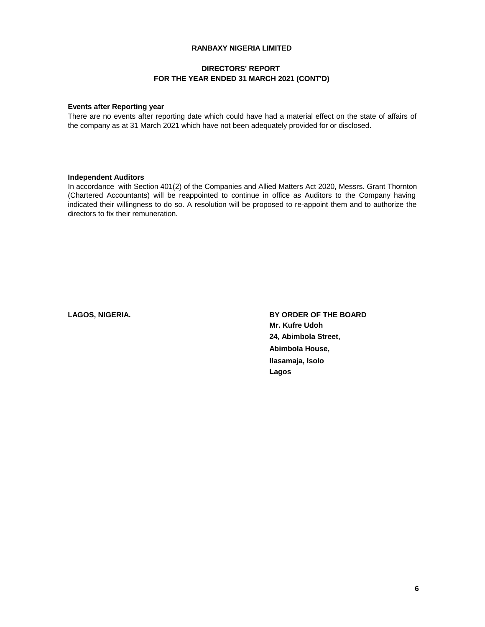# **FOR THE YEAR ENDED 31 MARCH 2021 (CONT'D) DIRECTORS' REPORT**

## **Events after Reporting year**

There are no events after reporting date which could have had a material effect on the state of affairs of the company as at 31 March 2021 which have not been adequately provided for or disclosed.

## **Independent Auditors**

In accordance with Section 401(2) of the Companies and Allied Matters Act 2020, Messrs. Grant Thornton (Chartered Accountants) will be reappointed to continue in office as Auditors to the Company having indicated their willingness to do so. A resolution will be proposed to re-appoint them and to authorize the directors to fix their remuneration.

**LAGOS, NIGERIA. BY ORDER OF THE BOARD Mr. Kufre Udoh 24, Abimbola Street, Abimbola House, Ilasamaja, Isolo Lagos**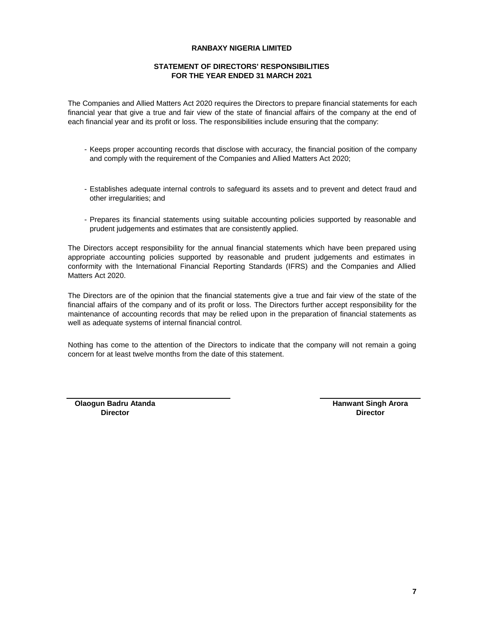# **STATEMENT OF DIRECTORS' RESPONSIBILITIES FOR THE YEAR ENDED 31 MARCH 2021**

The Companies and Allied Matters Act 2020 requires the Directors to prepare financial statements for each financial year that give a true and fair view of the state of financial affairs of the company at the end of each financial year and its profit or loss. The responsibilities include ensuring that the company:

- Keeps proper accounting records that disclose with accuracy, the financial position of the company and comply with the requirement of the Companies and Allied Matters Act 2020;
- Establishes adequate internal controls to safeguard its assets and to prevent and detect fraud and other irregularities; and
- Prepares its financial statements using suitable accounting policies supported by reasonable and prudent judgements and estimates that are consistently applied.

The Directors accept responsibility for the annual financial statements which have been prepared using appropriate accounting policies supported by reasonable and prudent judgements and estimates in conformity with the International Financial Reporting Standards (IFRS) and the Companies and Allied Matters Act 2020.

The Directors are of the opinion that the financial statements give a true and fair view of the state of the financial affairs of the company and of its profit or loss. The Directors further accept responsibility for the maintenance of accounting records that may be relied upon in the preparation of financial statements as well as adequate systems of internal financial control.

Nothing has come to the attention of the Directors to indicate that the company will not remain a going concern for at least twelve months from the date of this statement.

**Director Director Olaogun Badru Atanda Hanwant Singh Arora**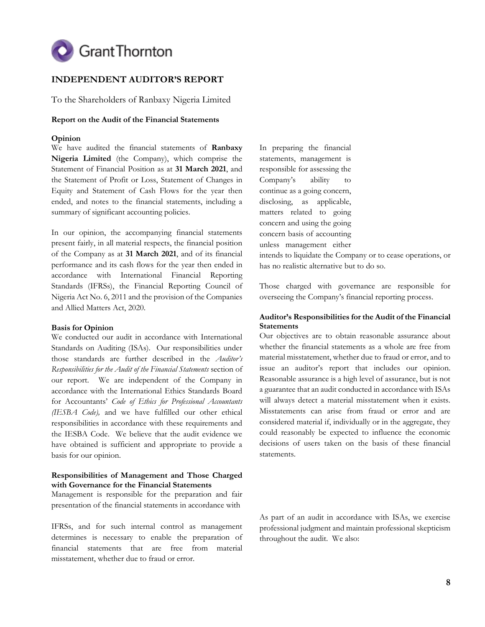

# **INDEPENDENT AUDITOR'S REPORT**

To the Shareholders of Ranbaxy Nigeria Limited

## **Report on the Audit of the Financial Statements**

## **Opinion**

We have audited the financial statements of **Ranbaxy Nigeria Limited** (the Company), which comprise the Statement of Financial Position as at **31 March 2021**, and the Statement of Profit or Loss, Statement of Changes in Equity and Statement of Cash Flows for the year then ended, and notes to the financial statements, including a summary of significant accounting policies.

In our opinion, the accompanying financial statements present fairly, in all material respects, the financial position of the Company as at **31 March 2021**, and of its financial performance and its cash flows for the year then ended in accordance with International Financial Reporting Standards (IFRSs), the Financial Reporting Council of Nigeria Act No. 6, 2011 and the provision of the Companies and Allied Matters Act, 2020.

## **Basis for Opinion**

We conducted our audit in accordance with International Standards on Auditing (ISAs). Our responsibilities under those standards are further described in the *Auditor's Responsibilities for the Audit of the Financial Statements* section of our report. We are independent of the Company in accordance with the International Ethics Standards Board for Accountants' *Code of Ethics for Professional Accountants (IESBA Code),* and we have fulfilled our other ethical responsibilities in accordance with these requirements and the IESBA Code. We believe that the audit evidence we have obtained is sufficient and appropriate to provide a basis for our opinion.

# **Responsibilities of Management and Those Charged with Governance for the Financial Statements**

Management is responsible for the preparation and fair presentation of the financial statements in accordance with

IFRSs, and for such internal control as management determines is necessary to enable the preparation of financial statements that are free from material misstatement, whether due to fraud or error.

In preparing the financial statements, management is responsible for assessing the Company's ability to continue as a going concern, disclosing, as applicable, matters related to going concern and using the going concern basis of accounting unless management either

intends to liquidate the Company or to cease operations, or has no realistic alternative but to do so.

Those charged with governance are responsible for overseeing the Company's financial reporting process.

# **Auditor's Responsibilities for the Audit of the Financial Statements**

Our objectives are to obtain reasonable assurance about whether the financial statements as a whole are free from material misstatement, whether due to fraud or error, and to issue an auditor's report that includes our opinion. Reasonable assurance is a high level of assurance, but is not a guarantee that an audit conducted in accordance with ISAs will always detect a material misstatement when it exists. Misstatements can arise from fraud or error and are considered material if, individually or in the aggregate, they could reasonably be expected to influence the economic decisions of users taken on the basis of these financial statements.

As part of an audit in accordance with ISAs, we exercise professional judgment and maintain professional skepticism throughout the audit. We also: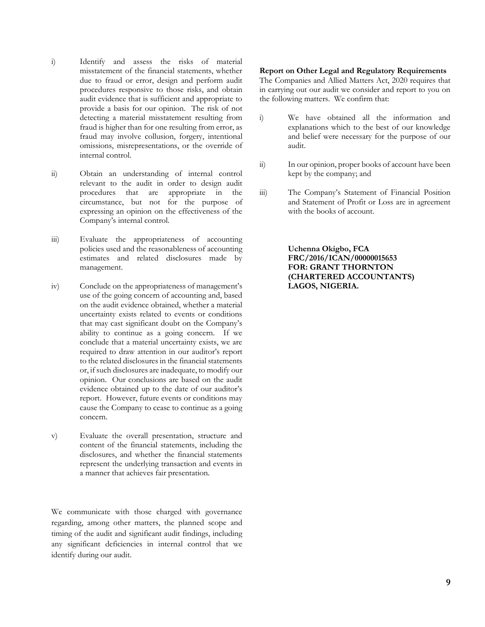- i) Identify and assess the risks of material misstatement of the financial statements, whether due to fraud or error, design and perform audit procedures responsive to those risks, and obtain audit evidence that is sufficient and appropriate to provide a basis for our opinion. The risk of not detecting a material misstatement resulting from fraud is higher than for one resulting from error, as fraud may involve collusion, forgery, intentional omissions, misrepresentations, or the override of internal control.
- ii) Obtain an understanding of internal control relevant to the audit in order to design audit procedures that are appropriate in the circumstance, but not for the purpose of expressing an opinion on the effectiveness of the Company's internal control.
- iii) Evaluate the appropriateness of accounting policies used and the reasonableness of accounting estimates and related disclosures made by management.
- iv) Conclude on the appropriateness of management's use of the going concern of accounting and, based on the audit evidence obtained, whether a material uncertainty exists related to events or conditions that may cast significant doubt on the Company's ability to continue as a going concern. If we conclude that a material uncertainty exists, we are required to draw attention in our auditor's report to the related disclosures in the financial statements or, if such disclosures are inadequate, to modify our opinion. Our conclusions are based on the audit evidence obtained up to the date of our auditor's report. However, future events or conditions may cause the Company to cease to continue as a going concern.
- v) Evaluate the overall presentation, structure and content of the financial statements, including the disclosures, and whether the financial statements represent the underlying transaction and events in a manner that achieves fair presentation.

We communicate with those charged with governance regarding, among other matters, the planned scope and timing of the audit and significant audit findings, including any significant deficiencies in internal control that we identify during our audit.

# **Report on Other Legal and Regulatory Requirements**

The Companies and Allied Matters Act, 2020 requires that in carrying out our audit we consider and report to you on the following matters. We confirm that:

- i) We have obtained all the information and explanations which to the best of our knowledge and belief were necessary for the purpose of our audit.
- ii) In our opinion, proper books of account have been kept by the company; and
- iii) The Company's Statement of Financial Position and Statement of Profit or Loss are in agreement with the books of account.

**Uchenna Okigbo, FCA FRC/2016/ICAN/00000015653 FOR: GRANT THORNTON (CHARTERED ACCOUNTANTS) LAGOS, NIGERIA.**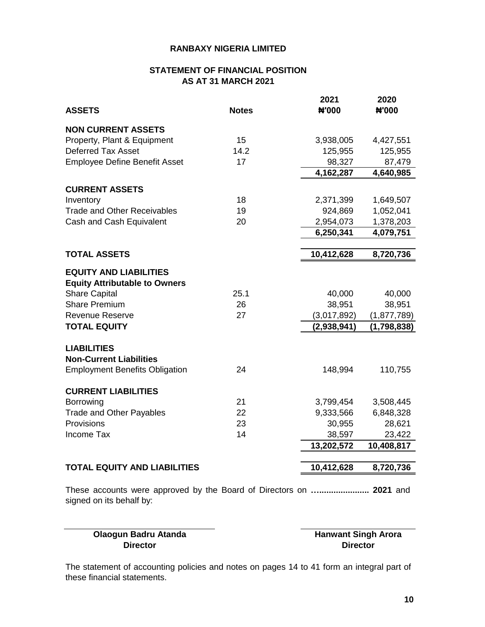# **STATEMENT OF FINANCIAL POSITION AS AT 31 MARCH 2021**

| <b>ASSETS</b>                                                         | <b>Notes</b> | 2021<br>#'000 | 2020<br>#'000 |
|-----------------------------------------------------------------------|--------------|---------------|---------------|
|                                                                       |              |               |               |
| <b>NON CURRENT ASSETS</b>                                             |              |               |               |
| Property, Plant & Equipment                                           | 15           | 3,938,005     | 4,427,551     |
| <b>Deferred Tax Asset</b>                                             | 14.2         | 125,955       | 125,955       |
| <b>Employee Define Benefit Asset</b>                                  | 17           | 98,327        | 87,479        |
|                                                                       |              | 4,162,287     | 4,640,985     |
| <b>CURRENT ASSETS</b>                                                 |              |               |               |
| Inventory                                                             | 18           | 2,371,399     | 1,649,507     |
| <b>Trade and Other Receivables</b>                                    | 19           | 924,869       | 1,052,041     |
| Cash and Cash Equivalent                                              | 20           | 2,954,073     | 1,378,203     |
|                                                                       |              | 6,250,341     | 4,079,751     |
|                                                                       |              |               |               |
| <b>TOTAL ASSETS</b>                                                   |              | 10,412,628    | 8,720,736     |
| <b>EQUITY AND LIABILITIES</b><br><b>Equity Attributable to Owners</b> |              |               |               |
| <b>Share Capital</b>                                                  | 25.1         | 40,000        | 40,000        |
| <b>Share Premium</b>                                                  | 26           | 38,951        | 38,951        |
| <b>Revenue Reserve</b>                                                | 27           | (3,017,892)   | (1,877,789)   |
| <b>TOTAL EQUITY</b>                                                   |              | (2,938,941)   | (1,798,838)   |
| <b>LIABILITIES</b>                                                    |              |               |               |
| <b>Non-Current Liabilities</b>                                        |              |               |               |
| <b>Employment Benefits Obligation</b>                                 | 24           | 148,994       | 110,755       |
| <b>CURRENT LIABILITIES</b>                                            |              |               |               |
| Borrowing                                                             | 21           | 3,799,454     | 3,508,445     |
| <b>Trade and Other Payables</b>                                       | 22           | 9,333,566     | 6,848,328     |
| Provisions                                                            | 23           | 30,955        | 28,621        |
| Income Tax                                                            | 14           | 38,597        | 23,422        |
|                                                                       |              | 13,202,572    | 10,408,817    |
| <b>TOTAL EQUITY AND LIABILITIES</b>                                   |              | 10,412,628    |               |
|                                                                       |              |               | 8,720,736     |

These accounts were approved by the Board of Directors on **…..................... 2021** and signed on its behalf by:

**Olaogun Badru Atanda Director**

**Hanwant Singh Arora Director**

The statement of accounting policies and notes on pages 14 to 41 form an integral part of these financial statements.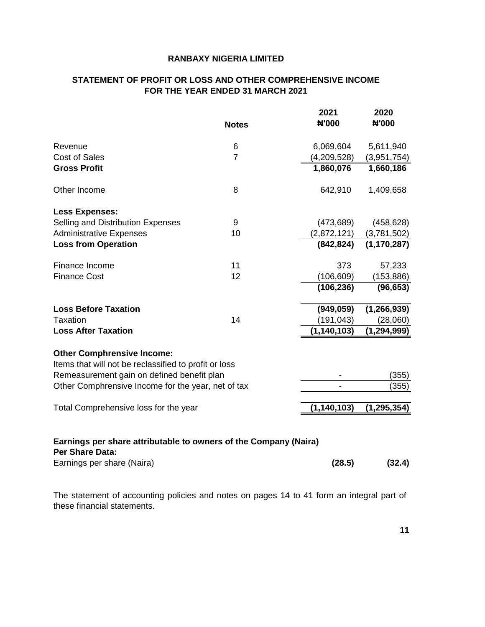# **STATEMENT OF PROFIT OR LOSS AND OTHER COMPREHENSIVE INCOME FOR THE YEAR ENDED 31 MARCH 2021**

|                                                                                            | <b>Notes</b>   | 2021<br>#'000 | 2020<br>#'000 |
|--------------------------------------------------------------------------------------------|----------------|---------------|---------------|
| Revenue                                                                                    | 6              | 6,069,604     | 5,611,940     |
| <b>Cost of Sales</b>                                                                       | $\overline{7}$ | (4,209,528)   | (3,951,754)   |
| <b>Gross Profit</b>                                                                        |                | 1,860,076     | 1,660,186     |
| Other Income                                                                               | 8              | 642,910       | 1,409,658     |
| <b>Less Expenses:</b>                                                                      |                |               |               |
| Selling and Distribution Expenses                                                          | 9              | (473, 689)    | (458, 628)    |
| <b>Administrative Expenses</b>                                                             | 10             | (2,872,121)   | (3,781,502)   |
| <b>Loss from Operation</b>                                                                 |                | (842, 824)    | (1, 170, 287) |
| Finance Income                                                                             | 11             | 373           | 57,233        |
| <b>Finance Cost</b>                                                                        | 12             | (106, 609)    | (153, 886)    |
|                                                                                            |                | (106, 236)    | (96, 653)     |
| <b>Loss Before Taxation</b>                                                                |                | (949, 059)    | (1, 266, 939) |
| <b>Taxation</b>                                                                            | 14             | (191,043)     | (28,060)      |
| <b>Loss After Taxation</b>                                                                 |                | (1, 140, 103) | (1, 294, 999) |
| <b>Other Comphrensive Income:</b><br>Items that will not be reclassified to profit or loss |                |               |               |
| Remeasurement gain on defined benefit plan                                                 |                |               | (355)         |
| Other Comphrensive Income for the year, net of tax                                         |                |               | (355)         |
| Total Comprehensive loss for the year                                                      |                | (1, 140, 103) | (1, 295, 354) |
| Earnings per share attributable to owners of the Company (Naira)<br>Per Share Data:        |                |               |               |

Earnings per share (Naira) **(28.5) (32.4)**

The statement of accounting policies and notes on pages 14 to 41 form an integral part of these financial statements.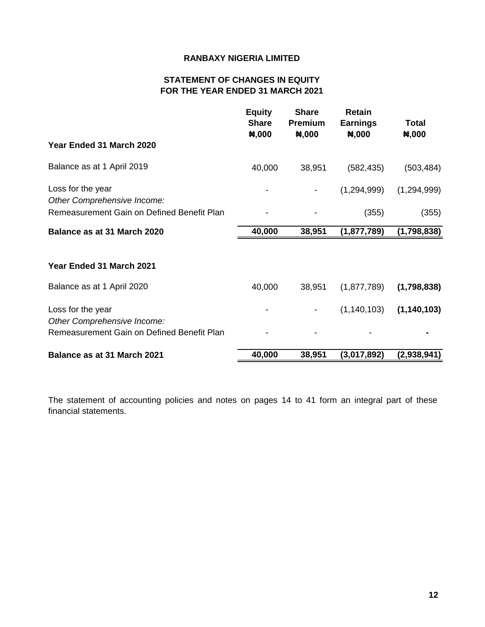# **STATEMENT OF CHANGES IN EQUITY FOR THE YEAR ENDED 31 MARCH 2021**

|                                                  | <b>Equity</b><br><b>Share</b><br>#,000 | <b>Share</b><br><b>Premium</b><br>#,000 | <b>Retain</b><br><b>Earnings</b><br>#,000 | Total<br>#,000 |
|--------------------------------------------------|----------------------------------------|-----------------------------------------|-------------------------------------------|----------------|
| Year Ended 31 March 2020                         |                                        |                                         |                                           |                |
| Balance as at 1 April 2019                       | 40,000                                 | 38,951                                  | (582, 435)                                | (503, 484)     |
| Loss for the year<br>Other Comprehensive Income: |                                        |                                         | (1,294,999)                               | (1,294,999)    |
| Remeasurement Gain on Defined Benefit Plan       |                                        |                                         | (355)                                     | (355)          |
| Balance as at 31 March 2020                      | 40,000                                 | 38,951                                  | (1, 877, 789)                             | (1,798,838)    |
|                                                  |                                        |                                         |                                           |                |
| Year Ended 31 March 2021                         |                                        |                                         |                                           |                |
| Balance as at 1 April 2020                       | 40,000                                 | 38,951                                  | (1,877,789)                               | (1,798,838)    |
| Loss for the year<br>Other Comprehensive Income: |                                        |                                         | (1, 140, 103)                             | (1, 140, 103)  |
| Remeasurement Gain on Defined Benefit Plan       |                                        |                                         |                                           |                |
| <b>Balance as at 31 March 2021</b>               | 40,000                                 | 38,951                                  | (3,017,892)                               | (2,938,941)    |

The statement of accounting policies and notes on pages 14 to 41 form an integral part of these financial statements.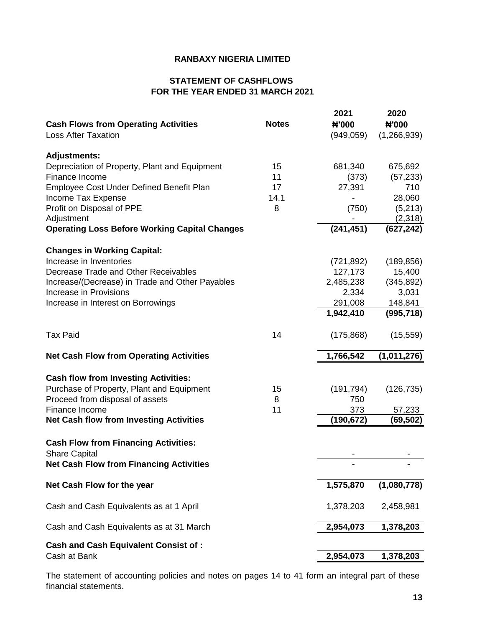# **STATEMENT OF CASHFLOWS FOR THE YEAR ENDED 31 MARCH 2021**

| <b>Cash Flows from Operating Activities</b><br><b>Loss After Taxation</b>                                                                                                                                                                                   | <b>Notes</b>                | 2021<br>#'000<br>(949,059)                                          | 2020<br>#'000<br>(1,266,939)                                              |
|-------------------------------------------------------------------------------------------------------------------------------------------------------------------------------------------------------------------------------------------------------------|-----------------------------|---------------------------------------------------------------------|---------------------------------------------------------------------------|
| <b>Adjustments:</b><br>Depreciation of Property, Plant and Equipment<br>Finance Income<br>Employee Cost Under Defined Benefit Plan<br>Income Tax Expense<br>Profit on Disposal of PPE<br>Adjustment<br><b>Operating Loss Before Working Capital Changes</b> | 15<br>11<br>17<br>14.1<br>8 | 681,340<br>(373)<br>27,391<br>(750)<br>(241, 451)                   | 675,692<br>(57, 233)<br>710<br>28,060<br>(5,213)<br>(2,318)<br>(627, 242) |
| <b>Changes in Working Capital:</b><br>Increase in Inventories<br>Decrease Trade and Other Receivables<br>Increase/(Decrease) in Trade and Other Payables<br>Increase in Provisions<br>Increase in Interest on Borrowings                                    |                             | (721, 892)<br>127,173<br>2,485,238<br>2,334<br>291,008<br>1,942,410 | (189, 856)<br>15,400<br>(345, 892)<br>3,031<br>148,841<br>(995, 718)      |
| <b>Tax Paid</b>                                                                                                                                                                                                                                             | 14                          | (175, 868)                                                          | (15, 559)                                                                 |
| <b>Net Cash Flow from Operating Activities</b>                                                                                                                                                                                                              |                             | 1,766,542                                                           | (1,011,276)                                                               |
| <b>Cash flow from Investing Activities:</b><br>Purchase of Property, Plant and Equipment<br>Proceed from disposal of assets<br>Finance Income<br><b>Net Cash flow from Investing Activities</b>                                                             | 15<br>8<br>11               | (191, 794)<br>750<br>373<br>(190,672)                               | (126, 735)<br>57,233<br>(69, 502)                                         |
| <b>Cash Flow from Financing Activities:</b><br><b>Share Capital</b><br><b>Net Cash Flow from Financing Activities</b>                                                                                                                                       |                             | ۰                                                                   |                                                                           |
| Net Cash Flow for the year                                                                                                                                                                                                                                  |                             | 1,575,870                                                           | (1,080,778)                                                               |
| Cash and Cash Equivalents as at 1 April                                                                                                                                                                                                                     |                             | 1,378,203                                                           | 2,458,981                                                                 |
| Cash and Cash Equivalents as at 31 March                                                                                                                                                                                                                    |                             | 2,954,073                                                           | 1,378,203                                                                 |
| <b>Cash and Cash Equivalent Consist of:</b><br>Cash at Bank                                                                                                                                                                                                 |                             | 2,954,073                                                           | 1,378,203                                                                 |

The statement of accounting policies and notes on pages 14 to 41 form an integral part of these financial statements.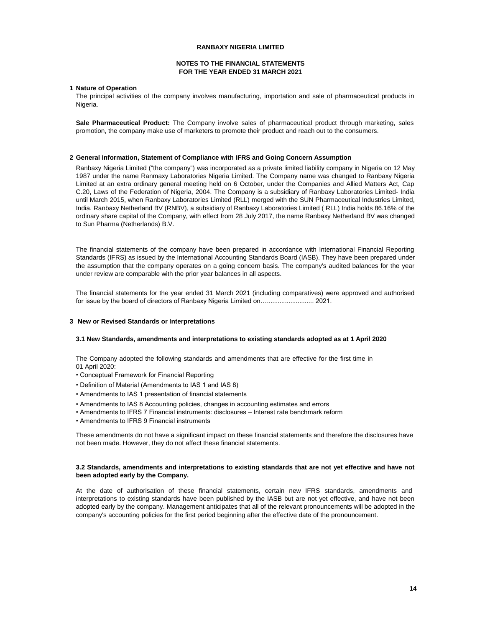## **NOTES TO THE FINANCIAL STATEMENTS FOR THE YEAR ENDED 31 MARCH 2021**

#### **1 Nature of Operation**

The principal activities of the company involves manufacturing, importation and sale of pharmaceutical products in Nigeria.

**Sale Pharmaceutical Product:** The Company involve sales of pharmaceutical product through marketing, sales promotion, the company make use of marketers to promote their product and reach out to the consumers.

### **2 General Information, Statement of Compliance with IFRS and Going Concern Assumption**

Ranbaxy Nigeria Limited ("the company") was incorporated as a private limited liability company in Nigeria on 12 May 1987 under the name Ranmaxy Laboratories Nigeria Limited. The Company name was changed to Ranbaxy Nigeria Limited at an extra ordinary general meeting held on 6 October, under the Companies and Allied Matters Act, Cap C.20, Laws of the Federation of Nigeria, 2004. The Company is a subsidiary of Ranbaxy Laboratories Limited- India until March 2015, when Ranbaxy Laboratories Limited (RLL) merged with the SUN Pharmaceutical Industries Limited, India. Ranbaxy Netherland BV (RNBV), a subsidiary of Ranbaxy Laboratories Limited ( RLL) India holds 86.16% of the ordinary share capital of the Company, with effect from 28 July 2017, the name Ranbaxy Netherland BV was changed to Sun Pharma (Netherlands) B.V.

The financial statements of the company have been prepared in accordance with International Financial Reporting Standards (IFRS) as issued by the International Accounting Standards Board (IASB). They have been prepared under the assumption that the company operates on a going concern basis. The company's audited balances for the year under review are comparable with the prior year balances in all aspects.

The financial statements for the year ended 31 March 2021 (including comparatives) were approved and authorised for issue by the board of directors of Ranbaxy Nigeria Limited on….......................... 2021.

## **3 New or Revised Standards or Interpretations**

### **3.1 New Standards, amendments and interpretations to existing standards adopted as at 1 April 2020**

The Company adopted the following standards and amendments that are effective for the first time in 01 April 2020:

- Conceptual Framework for Financial Reporting
- Definition of Material (Amendments to IAS 1 and IAS 8)
- Amendments to IAS 1 presentation of financial statements
- Amendments to IAS 8 Accounting policies, changes in accounting estimates and errors
- Amendments to IFRS 7 Financial instruments: disclosures Interest rate benchmark reform
- Amendments to IFRS 9 Financial instruments

These amendments do not have a significant impact on these financial statements and therefore the disclosures have not been made. However, they do not affect these financial statements.

#### **3.2 Standards, amendments and interpretations to existing standards that are not yet effective and have not been adopted early by the Company.**

At the date of authorisation of these financial statements, certain new IFRS standards, amendments and interpretations to existing standards have been published by the IASB but are not yet effective, and have not been adopted early by the company. Management anticipates that all of the relevant pronouncements will be adopted in the company's accounting policies for the first period beginning after the effective date of the pronouncement.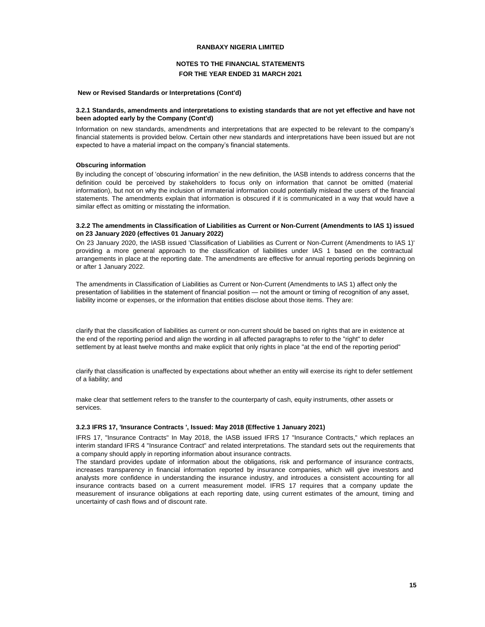## **NOTES TO THE FINANCIAL STATEMENTS FOR THE YEAR ENDED 31 MARCH 2021**

#### **New or Revised Standards or Interpretations (Cont'd)**

#### **3.2.1 Standards, amendments and interpretations to existing standards that are not yet effective and have not been adopted early by the Company (Cont'd)**

Information on new standards, amendments and interpretations that are expected to be relevant to the company's financial statements is provided below. Certain other new standards and interpretations have been issued but are not expected to have a material impact on the company's financial statements.

## **Obscuring information**

By including the concept of 'obscuring information' in the new definition, the IASB intends to address concerns that the definition could be perceived by stakeholders to focus only on information that cannot be omitted (material information), but not on why the inclusion of immaterial information could potentially mislead the users of the financial statements. The amendments explain that information is obscured if it is communicated in a way that would have a similar effect as omitting or misstating the information.

## **3.2.2 The amendments in Classification of Liabilities as Current or Non-Current (Amendments to IAS 1) issued on 23 January 2020 (effectives 01 January 2022)**

On 23 January 2020, the IASB issued 'Classification of Liabilities as Current or Non-Current (Amendments to IAS 1)' providing a more general approach to the classification of liabilities under IAS 1 based on the contractual arrangements in place at the reporting date. The amendments are effective for annual reporting periods beginning on or after 1 January 2022.

The amendments in Classification of Liabilities as Current or Non-Current (Amendments to IAS 1) affect only the presentation of liabilities in the statement of financial position — not the amount or timing of recognition of any asset, liability income or expenses, or the information that entities disclose about those items. They are:

clarify that the classification of liabilities as current or non-current should be based on rights that are in existence at the end of the reporting period and align the wording in all affected paragraphs to refer to the "right" to defer settlement by at least twelve months and make explicit that only rights in place "at the end of the reporting period"

clarify that classification is unaffected by expectations about whether an entity will exercise its right to defer settlement of a liability; and

make clear that settlement refers to the transfer to the counterparty of cash, equity instruments, other assets or services.

### **3.2.3 IFRS 17, 'Insurance Contracts ', Issued: May 2018 (Effective 1 January 2021)**

IFRS 17, "Insurance Contracts" In May 2018, the IASB issued IFRS 17 "Insurance Contracts," which replaces an interim standard IFRS 4 "Insurance Contract" and related interpretations. The standard sets out the requirements that a company should apply in reporting information about insurance contracts.

The standard provides update of information about the obligations, risk and performance of insurance contracts, increases transparency in financial information reported by insurance companies, which will give investors and analysts more confidence in understanding the insurance industry, and introduces a consistent accounting for all insurance contracts based on a current measurement model. IFRS 17 requires that a company update the measurement of insurance obligations at each reporting date, using current estimates of the amount, timing and uncertainty of cash flows and of discount rate.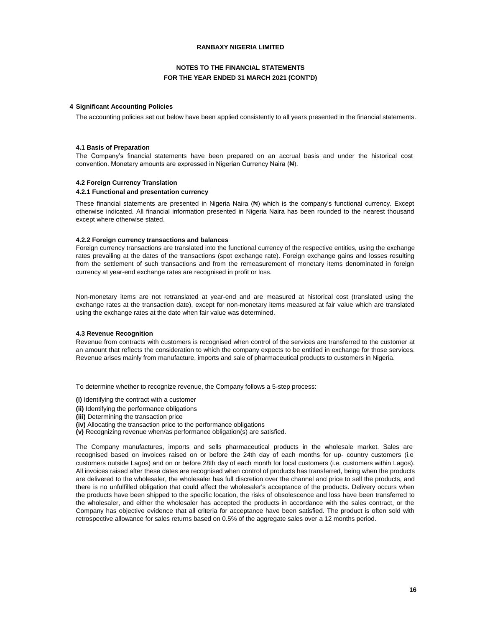# **NOTES TO THE FINANCIAL STATEMENTS FOR THE YEAR ENDED 31 MARCH 2021 (CONT'D)**

### **4 Significant Accounting Policies**

The accounting policies set out below have been applied consistently to all years presented in the financial statements.

#### **4.1 Basis of Preparation**

The Company's financial statements have been prepared on an accrual basis and under the historical cost convention. Monetary amounts are expressed in Nigerian Currency Naira (₦).

## **4.2 Foreign Currency Translation**

#### **4.2.1 Functional and presentation currency**

These financial statements are presented in Nigeria Naira (₦) which is the company's functional currency. Except otherwise indicated. All financial information presented in Nigeria Naira has been rounded to the nearest thousand except where otherwise stated.

#### **4.2.2 Foreign currency transactions and balances**

Foreign currency transactions are translated into the functional currency of the respective entities, using the exchange rates prevailing at the dates of the transactions (spot exchange rate). Foreign exchange gains and losses resulting from the settlement of such transactions and from the remeasurement of monetary items denominated in foreign currency at year-end exchange rates are recognised in profit or loss.

Non-monetary items are not retranslated at year-end and are measured at historical cost (translated using the exchange rates at the transaction date), except for non-monetary items measured at fair value which are translated using the exchange rates at the date when fair value was determined.

#### **4.3 Revenue Recognition**

Revenue from contracts with customers is recognised when control of the services are transferred to the customer at an amount that reflects the consideration to which the company expects to be entitled in exchange for those services. Revenue arises mainly from manufacture, imports and sale of pharmaceutical products to customers in Nigeria.

To determine whether to recognize revenue, the Company follows a 5-step process:

- **(i)** Identifying the contract with a customer
- **(ii)** Identifying the performance obligations
- **(iii)** Determining the transaction price
- **(iv)** Allocating the transaction price to the performance obligations
- **(v)** Recognizing revenue when/as performance obligation(s) are satisfied.

The Company manufactures, imports and sells pharmaceutical products in the wholesale market. Sales are recognised based on invoices raised on or before the 24th day of each months for up- country customers (i.e customers outside Lagos) and on or before 28th day of each month for local customers (i.e. customers within Lagos). All invoices raised after these dates are recognised when control of products has transferred, being when the products are delivered to the wholesaler, the wholesaler has full discretion over the channel and price to sell the products, and there is no unfulfilled obligation that could affect the wholesaler's acceptance of the products. Delivery occurs when the products have been shipped to the specific location, the risks of obsolescence and loss have been transferred to the wholesaler, and either the wholesaler has accepted the products in accordance with the sales contract, or the Company has objective evidence that all criteria for acceptance have been satisfied. The product is often sold with retrospective allowance for sales returns based on 0.5% of the aggregate sales over a 12 months period.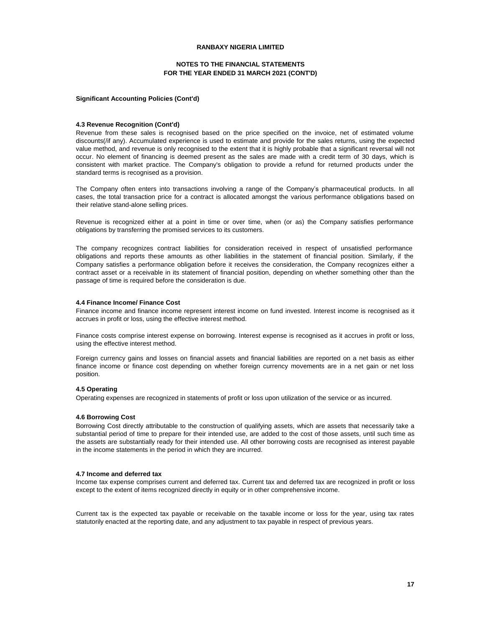## **NOTES TO THE FINANCIAL STATEMENTS FOR THE YEAR ENDED 31 MARCH 2021 (CONT'D)**

#### **Significant Accounting Policies (Cont'd)**

#### **4.3 Revenue Recognition (Cont'd)**

Revenue from these sales is recognised based on the price specified on the invoice, net of estimated volume discounts(/if any). Accumulated experience is used to estimate and provide for the sales returns, using the expected value method, and revenue is only recognised to the extent that it is highly probable that a significant reversal will not occur. No element of financing is deemed present as the sales are made with a credit term of 30 days, which is consistent with market practice. The Company's obligation to provide a refund for returned products under the standard terms is recognised as a provision.

The Company often enters into transactions involving a range of the Company's pharmaceutical products. In all cases, the total transaction price for a contract is allocated amongst the various performance obligations based on their relative stand-alone selling prices.

Revenue is recognized either at a point in time or over time, when (or as) the Company satisfies performance obligations by transferring the promised services to its customers.

The company recognizes contract liabilities for consideration received in respect of unsatisfied performance obligations and reports these amounts as other liabilities in the statement of financial position. Similarly, if the Company satisfies a performance obligation before it receives the consideration, the Company recognizes either a contract asset or a receivable in its statement of financial position, depending on whether something other than the passage of time is required before the consideration is due.

#### **4.4 Finance Income/ Finance Cost**

Finance income and finance income represent interest income on fund invested. Interest income is recognised as it accrues in profit or loss, using the effective interest method.

Finance costs comprise interest expense on borrowing. Interest expense is recognised as it accrues in profit or loss, using the effective interest method.

Foreign currency gains and losses on financial assets and financial liabilities are reported on a net basis as either finance income or finance cost depending on whether foreign currency movements are in a net gain or net loss position.

#### **4.5 Operating**

Operating expenses are recognized in statements of profit or loss upon utilization of the service or as incurred. **expenses**

#### **4.6 Borrowing Cost**

Borrowing Cost directly attributable to the construction of qualifying assets, which are assets that necessarily take a substantial period of time to prepare for their intended use, are added to the cost of those assets, until such time as the assets are substantially ready for their intended use. All other borrowing costs are recognised as interest payable in the income statements in the period in which they are incurred.

#### **4.7 Income and deferred tax**

Income tax expense comprises current and deferred tax. Current tax and deferred tax are recognized in profit or loss except to the extent of items recognized directly in equity or in other comprehensive income.

Current tax is the expected tax payable or receivable on the taxable income or loss for the year, using tax rates statutorily enacted at the reporting date, and any adjustment to tax payable in respect of previous years.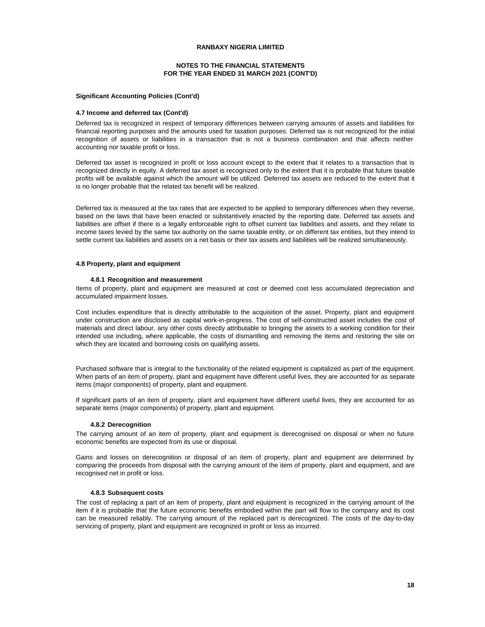## **NOTES TO THE FINANCIAL STATEMENTS FOR THE YEAR ENDED 31 MARCH 2021 (CONT'D)**

#### **Significant Accounting Policies (Cont'd)**

#### **4.7 Income and deferred tax (Cont'd)**

Deferred tax is recognized in respect of temporary differences between carrying amounts of assets and liabilities for financial reporting purposes and the amounts used for taxation purposes. Deferred tax is not recognized for the initial recognition of assets or liabilities in a transaction that is not a business combination and that affects neither accounting nor taxable profit or loss.

Deferred tax asset is recognized in profit or loss account except to the extent that it relates to a transaction that is recognized directly in equity. A deferred tax asset is recognized only to the extent that it is probable that future taxable profits will be available against which the amount will be utilized. Deferred tax assets are reduced to the extent that it is no longer probable that the related tax benefit will be realized.

Deferred tax is measured at the tax rates that are expected to be applied to temporary differences when they reverse, based on the laws that have been enacted or substantively enacted by the reporting date. Deferred tax assets and liabilities are offset if there is a legally enforceable right to offset current tax liabilities and assets, and they relate to income taxes levied by the same tax authority on the same taxable entity, or on different tax entities, but they intend to settle current tax liabilities and assets on a net basis or their tax assets and liabilities will be realized simultaneously.

#### **4.8 Property, plant and equipment**

#### **4.8.1 Recognition and measurement**

Items of property, plant and equipment are measured at cost or deemed cost less accumulated depreciation and accumulated impairment losses.

Cost includes expenditure that is directly attributable to the acquisition of the asset. Property, plant and equipment under construction are disclosed as capital work-in-progress. The cost of self-constructed asset includes the cost of materials and direct labour, any other costs directly attributable to bringing the assets to a working condition for their intended use including, where applicable, the costs of dismantling and removing the items and restoring the site on which they are located and borrowing costs on qualifying assets.

Purchased software that is integral to the functionality of the related equipment is capitalized as part of the equipment. When parts of an item of property, plant and equipment have different useful lives, they are accounted for as separate items (major components) of property, plant and equipment.

If significant parts of an item of property, plant and equipment have different useful lives, they are accounted for as separate items (major components) of property, plant and equipment.

#### **4.8.2 Derecognition**

The carrying amount of an item of property, plant and equipment is derecognised on disposal or when no future economic benefits are expected from its use or disposal.

Gains and losses on derecognition or disposal of an item of property, plant and equipment are determined by comparing the proceeds from disposal with the carrying amount of the item of property, plant and equipment, and are recognised net in profit or loss.

#### **4.8.3 Subsequent costs**

The cost of replacing a part of an item of property, plant and equipment is recognized in the carrying amount of the item if it is probable that the future economic benefits embodied within the part will flow to the company and its cost can be measured reliably. The carrying amount of the replaced part is derecognized. The costs of the day-to-day servicing of property, plant and equipment are recognized in profit or loss as incurred.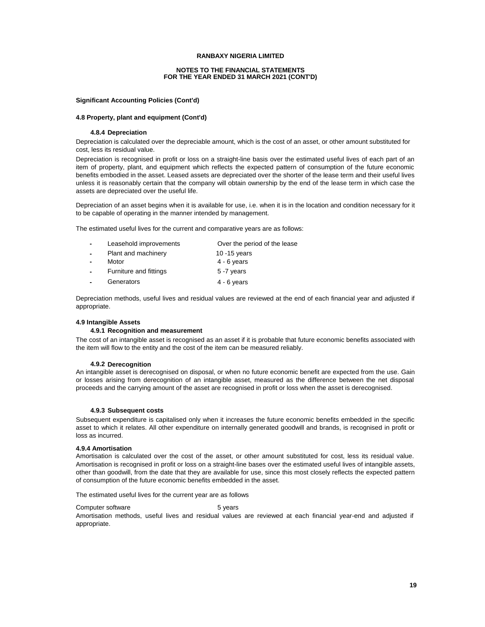#### **NOTES TO THE FINANCIAL STATEMENTS FOR THE YEAR ENDED 31 MARCH 2021 (CONT'D)**

### **Significant Accounting Policies (Cont'd)**

## **4.8 Property, plant and equipment (Cont'd)**

#### **4.8.4 Depreciation**

Depreciation is calculated over the depreciable amount, which is the cost of an asset, or other amount substituted for cost, less its residual value.

Depreciation is recognised in profit or loss on a straight-line basis over the estimated useful lives of each part of an item of property, plant, and equipment which reflects the expected pattern of consumption of the future economic benefits embodied in the asset. Leased assets are depreciated over the shorter of the lease term and their useful lives unless it is reasonably certain that the company will obtain ownership by the end of the lease term in which case the assets are depreciated over the useful life.

Depreciation of an asset begins when it is available for use, i.e. when it is in the location and condition necessary for it to be capable of operating in the manner intended by management.

The estimated useful lives for the current and comparative years are as follows:

| $\overline{\phantom{a}}$ | Leasehold improvements | Over the period of the lease |
|--------------------------|------------------------|------------------------------|
| $\overline{\phantom{a}}$ | Plant and machinery    | 10 $-15$ years               |
| $\overline{\phantom{a}}$ | Motor                  | $4 - 6$ years                |
| $\overline{\phantom{a}}$ | Furniture and fittings | 5 -7 years                   |
| $\overline{\phantom{a}}$ | Generators             | $4 - 6$ years                |
|                          |                        |                              |

Depreciation methods, useful lives and residual values are reviewed at the end of each financial year and adjusted if appropriate.

#### **4.9 Intangible Assets**

#### **4.9.1 Recognition and measurement**

The cost of an intangible asset is recognised as an asset if it is probable that future economic benefits associated with the item will flow to the entity and the cost of the item can be measured reliably.

#### **4.9.2 Derecognition**

An intangible asset is derecognised on disposal, or when no future economic benefit are expected from the use. Gain or losses arising from derecognition of an intangible asset, measured as the difference between the net disposal proceeds and the carrying amount of the asset are recognised in profit or loss when the asset is derecognised.

#### **4.9.3 Subsequent costs**

Subsequent expenditure is capitalised only when it increases the future economic benefits embedded in the specific asset to which it relates. All other expenditure on internally generated goodwill and brands, is recognised in profit or loss as incurred.

## **4.9.4 Amortisation**

Amortisation is calculated over the cost of the asset, or other amount substituted for cost, less its residual value. Amortisation is recognised in profit or loss on a straight-line bases over the estimated useful lives of intangible assets, other than goodwill, from the date that they are available for use, since this most closely reflects the expected pattern of consumption of the future economic benefits embedded in the asset.

The estimated useful lives for the current year are as follows

#### Computer software

5 years

Amortisation methods, useful lives and residual values are reviewed at each financial year-end and adjusted if appropriate.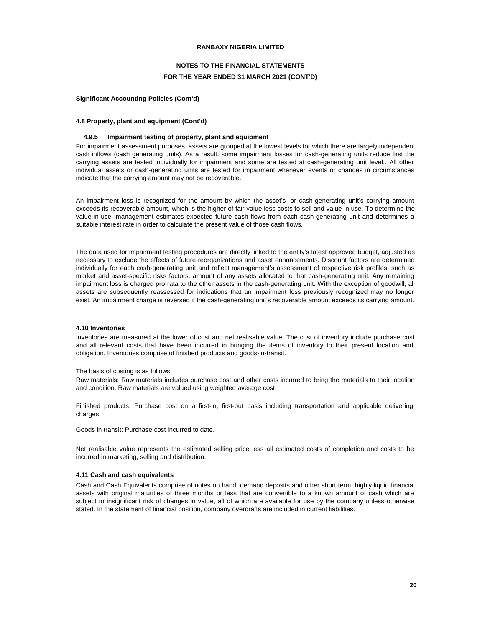## **NOTES TO THE FINANCIAL STATEMENTS**

#### **FOR THE YEAR ENDED 31 MARCH 2021 (CONT'D)**

#### **Significant Accounting Policies (Cont'd)**

## **4.8 Property, plant and equipment (Cont'd)**

#### **4.9.5 Impairment testing of property, plant and equipment**

For impairment assessment purposes, assets are grouped at the lowest levels for which there are largely independent cash inflows (cash generating units). As a result, some impairment losses for cash-generating units reduce first the carrying assets are tested individually for impairment and some are tested at cash-generating unit level.. All other individual assets or cash-generating units are tested for impairment whenever events or changes in circumstances indicate that the carrying amount may not be recoverable.

An impairment loss is recognized for the amount by which the asset's or cash-generating unit's carrying amount exceeds its recoverable amount, which is the higher of fair value less costs to sell and value-in use. To determine the value-in-use, management estimates expected future cash flows from each cash-generating unit and determines a suitable interest rate in order to calculate the present value of those cash flows.

The data used for impairment testing procedures are directly linked to the entity's latest approved budget, adjusted as necessary to exclude the effects of future reorganizations and asset enhancements. Discount factors are determined individually for each cash-generating unit and reflect management's assessment of respective risk profiles, such as market and asset-specific risks factors. amount of any assets allocated to that cash-generating unit. Any remaining impairment loss is charged pro rata to the other assets in the cash-generating unit. With the exception of goodwill, all assets are subsequently reassessed for indications that an impairment loss previously recognized may no longer exist. An impairment charge is reversed if the cash-generating unit's recoverable amount exceeds its carrying amount.

#### **4.10 Inventories**

Inventories are measured at the lower of cost and net realisable value. The cost of inventory include purchase cost and all relevant costs that have been incurred in bringing the items of inventory to their present location and obligation. Inventories comprise of finished products and goods-in-transit.

#### The basis of costing is as follows:

Raw materials: Raw materials includes purchase cost and other costs incurred to bring the materials to their location and condition. Raw materials are valued using weighted average cost.

Finished products: Purchase cost on a first-in, first-out basis including transportation and applicable delivering charges.

Goods in transit: Purchase cost incurred to date.

Net realisable value represents the estimated selling price less all estimated costs of completion and costs to be incurred in marketing, selling and distribution.

#### **4.11 Cash and cash equivalents**

Cash and Cash Equivalents comprise of notes on hand, demand deposits and other short term, highly liquid financial assets with original maturities of three months or less that are convertible to a known amount of cash which are subject to insignificant risk of changes in value, all of which are available for use by the company unless otherwise stated. In the statement of financial position, company overdrafts are included in current liabilities.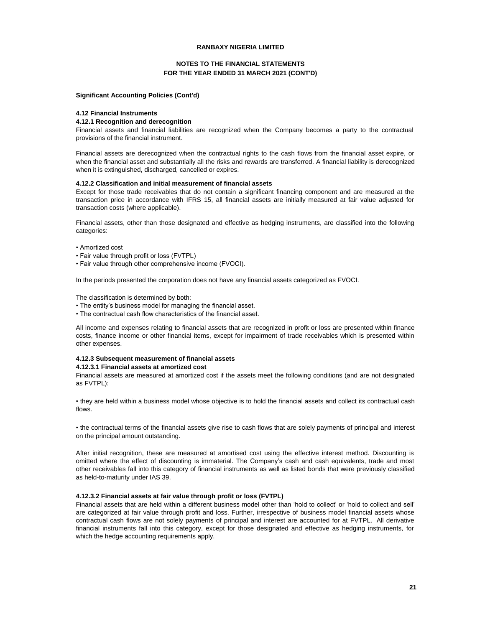## **NOTES TO THE FINANCIAL STATEMENTS FOR THE YEAR ENDED 31 MARCH 2021 (CONT'D)**

### **Significant Accounting Policies (Cont'd)**

#### **4.12 Financial Instruments**

### **4.12.1 Recognition and derecognition**

Financial assets and financial liabilities are recognized when the Company becomes a party to the contractual provisions of the financial instrument.

Financial assets are derecognized when the contractual rights to the cash flows from the financial asset expire, or when the financial asset and substantially all the risks and rewards are transferred. A financial liability is derecognized when it is extinguished, discharged, cancelled or expires.

#### **4.12.2 Classification and initial measurement of financial assets**

Except for those trade receivables that do not contain a significant financing component and are measured at the transaction price in accordance with IFRS 15, all financial assets are initially measured at fair value adjusted for transaction costs (where applicable).

Financial assets, other than those designated and effective as hedging instruments, are classified into the following categories:

- Amortized cost
- Fair value through profit or loss (FVTPL)
- Fair value through other comprehensive income (FVOCI).

In the periods presented the corporation does not have any financial assets categorized as FVOCI.

The classification is determined by both:

- The entity's business model for managing the financial asset.
- The contractual cash flow characteristics of the financial asset.

All income and expenses relating to financial assets that are recognized in profit or loss are presented within finance costs, finance income or other financial items, except for impairment of trade receivables which is presented within other expenses.

## **4.12.3 Subsequent measurement of financial assets**

#### **4.12.3.1 Financial assets at amortized cost**

Financial assets are measured at amortized cost if the assets meet the following conditions (and are not designated as FVTPL):

• they are held within a business model whose objective is to hold the financial assets and collect its contractual cash flows.

• the contractual terms of the financial assets give rise to cash flows that are solely payments of principal and interest on the principal amount outstanding.

After initial recognition, these are measured at amortised cost using the effective interest method. Discounting is omitted where the effect of discounting is immaterial. The Company's cash and cash equivalents, trade and most other receivables fall into this category of financial instruments as well as listed bonds that were previously classified as held-to-maturity under IAS 39.

## **4.12.3.2 Financial assets at fair value through profit or loss (FVTPL)**

Financial assets that are held within a different business model other than 'hold to collect' or 'hold to collect and sell' are categorized at fair value through profit and loss. Further, irrespective of business model financial assets whose contractual cash flows are not solely payments of principal and interest are accounted for at FVTPL. All derivative financial instruments fall into this category, except for those designated and effective as hedging instruments, for which the hedge accounting requirements apply.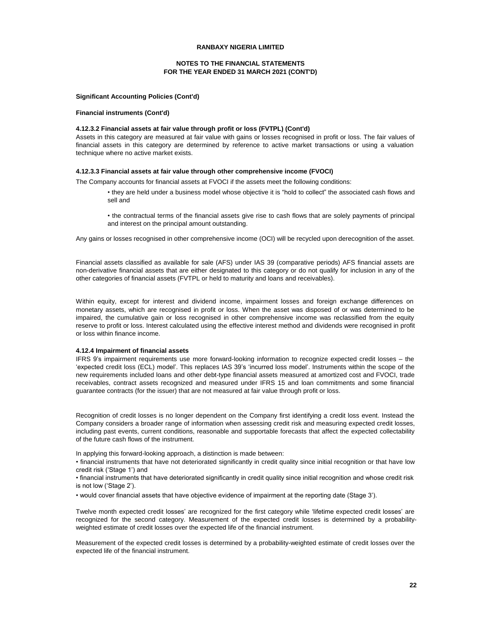### **FOR THE YEAR ENDED 31 MARCH 2021 (CONT'D) NOTES TO THE FINANCIAL STATEMENTS**

### **Significant Accounting Policies (Cont'd)**

### **Financial instruments (Cont'd)**

#### **4.12.3.2 Financial assets at fair value through profit or loss (FVTPL) (Cont'd)**

Assets in this category are measured at fair value with gains or losses recognised in profit or loss. The fair values of financial assets in this category are determined by reference to active market transactions or using a valuation technique where no active market exists.

#### **4.12.3.3 Financial assets at fair value through other comprehensive income (FVOCI)**

The Company accounts for financial assets at FVOCI if the assets meet the following conditions:

- they are held under a business model whose objective it is "hold to collect" the associated cash flows and sell and
- the contractual terms of the financial assets give rise to cash flows that are solely payments of principal and interest on the principal amount outstanding.

Any gains or losses recognised in other comprehensive income (OCI) will be recycled upon derecognition of the asset.

Financial assets classified as available for sale (AFS) under IAS 39 (comparative periods) AFS financial assets are non-derivative financial assets that are either designated to this category or do not qualify for inclusion in any of the other categories of financial assets (FVTPL or held to maturity and loans and receivables).

Within equity, except for interest and dividend income, impairment losses and foreign exchange differences on monetary assets, which are recognised in profit or loss. When the asset was disposed of or was determined to be impaired, the cumulative gain or loss recognised in other comprehensive income was reclassified from the equity reserve to profit or loss. Interest calculated using the effective interest method and dividends were recognised in profit or loss within finance income.

#### **4.12.4 Impairment of financial assets**

IFRS 9's impairment requirements use more forward-looking information to recognize expected credit losses – the 'expected credit loss (ECL) model'. This replaces IAS 39's 'incurred loss model'. Instruments within the scope of the new requirements included loans and other debt-type financial assets measured at amortized cost and FVOCI, trade receivables, contract assets recognized and measured under IFRS 15 and loan commitments and some financial guarantee contracts (for the issuer) that are not measured at fair value through profit or loss.

Recognition of credit losses is no longer dependent on the Company first identifying a credit loss event. Instead the Company considers a broader range of information when assessing credit risk and measuring expected credit losses, including past events, current conditions, reasonable and supportable forecasts that affect the expected collectability of the future cash flows of the instrument.

In applying this forward-looking approach, a distinction is made between:

• financial instruments that have not deteriorated significantly in credit quality since initial recognition or that have low credit risk ('Stage 1') and

• financial instruments that have deteriorated significantly in credit quality since initial recognition and whose credit risk is not low ('Stage 2').

• would cover financial assets that have objective evidence of impairment at the reporting date (Stage 3').

Twelve month expected credit losses' are recognized for the first category while 'lifetime expected credit losses' are recognized for the second category. Measurement of the expected credit losses is determined by a probabilityweighted estimate of credit losses over the expected life of the financial instrument.

Measurement of the expected credit losses is determined by a probability-weighted estimate of credit losses over the expected life of the financial instrument.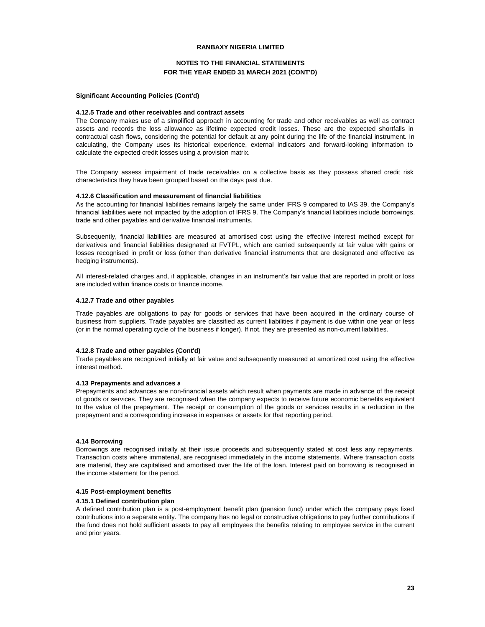## **FOR THE YEAR ENDED 31 MARCH 2021 (CONT'D) NOTES TO THE FINANCIAL STATEMENTS**

### **Significant Accounting Policies (Cont'd)**

#### **4.12.5 Trade and other receivables and contract assets**

The Company makes use of a simplified approach in accounting for trade and other receivables as well as contract assets and records the loss allowance as lifetime expected credit losses. These are the expected shortfalls in contractual cash flows, considering the potential for default at any point during the life of the financial instrument. In calculating, the Company uses its historical experience, external indicators and forward-looking information to calculate the expected credit losses using a provision matrix.

The Company assess impairment of trade receivables on a collective basis as they possess shared credit risk characteristics they have been grouped based on the days past due.

#### **4.12.6 Classification and measurement of financial liabilities**

As the accounting for financial liabilities remains largely the same under IFRS 9 compared to IAS 39, the Company's financial liabilities were not impacted by the adoption of IFRS 9. The Company's financial liabilities include borrowings, trade and other payables and derivative financial instruments.

Subsequently, financial liabilities are measured at amortised cost using the effective interest method except for derivatives and financial liabilities designated at FVTPL, which are carried subsequently at fair value with gains or losses recognised in profit or loss (other than derivative financial instruments that are designated and effective as hedging instruments).

All interest-related charges and, if applicable, changes in an instrument's fair value that are reported in profit or loss are included within finance costs or finance income.

#### **4.12.7 Trade and other payables**

Trade payables are obligations to pay for goods or services that have been acquired in the ordinary course of business from suppliers. Trade payables are classified as current liabilities if payment is due within one year or less (or in the normal operating cycle of the business if longer). If not, they are presented as non-current liabilities.

#### **4.12.8 Trade and other payables (Cont'd)**

Trade payables are recognized initially at fair value and subsequently measured at amortized cost using the effective interest method.

## 4.13 Prepayments and advances a

Prepayments and advances are non-financial assets which result when payments are made in advance of the receipt of goods or services. They are recognised when the company expects to receive future economic benefits equivalent to the value of the prepayment. The receipt or consumption of the goods or services results in a reduction in the prepayment and a corresponding increase in expenses or assets for that reporting period.

### **4.14 Borrowing**

Borrowings are recognised initially at their issue proceeds and subsequently stated at cost less any repayments. Transaction costs where immaterial, are recognised immediately in the income statements. Where transaction costs are material, they are capitalised and amortised over the life of the loan. Interest paid on borrowing is recognised in the income statement for the period.

### **4.15 Post-employment benefits**

#### **4.15.1 Defined contribution plan**

A defined contribution plan is a post-employment benefit plan (pension fund) under which the company pays fixed contributions into a separate entity. The company has no legal or constructive obligations to pay further contributions if the fund does not hold sufficient assets to pay all employees the benefits relating to employee service in the current and prior years.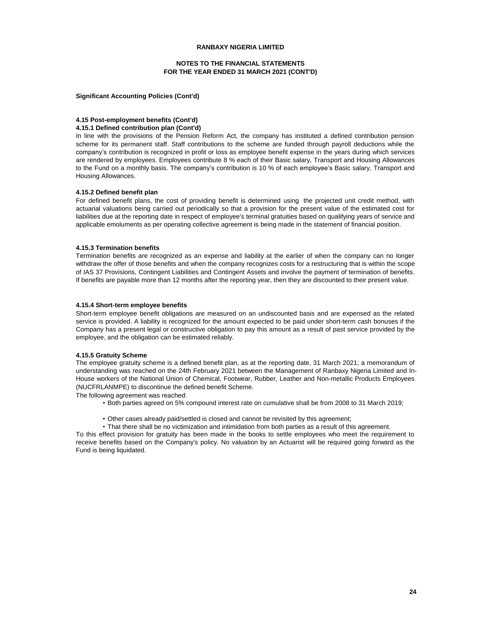## **NOTES TO THE FINANCIAL STATEMENTS FOR THE YEAR ENDED 31 MARCH 2021 (CONT'D)**

**Significant Accounting Policies (Cont'd)**

### **4.15 Post-employment benefits (Cont'd)**

#### **4.15.1 Defined contribution plan (Cont'd)**

In line with the provisions of the Pension Reform Act, the company has instituted a defined contribution pension scheme for its permanent staff. Staff contributions to the scheme are funded through payroll deductions while the company's contribution is recognized in profit or loss as employee benefit expense in the years during which services are rendered by employees. Employees contribute 8 % each of their Basic salary, Transport and Housing Allowances to the Fund on a monthly basis. The company's contribution is 10 % of each employee's Basic salary, Transport and Housing Allowances.

## **4.15.2 Defined benefit plan**

For defined benefit plans, the cost of providing benefit is determined using the projected unit credit method, with actuarial valuations being carried out periodically so that a provision for the present value of the estimated cost for liabilities due at the reporting date in respect of employee's terminal gratuities based on qualifying years of service and applicable emoluments as per operating collective agreement is being made in the statement of financial position.

## **4.15.3 Termination benefits**

Termination benefits are recognized as an expense and liability at the earlier of when the company can no longer withdraw the offer of those benefits and when the company recognizes costs for a restructuring that is within the scope of IAS 37 Provisions, Contingent Liabilities and Contingent Assets and involve the payment of termination of benefits. If benefits are payable more than 12 months after the reporting year, then they are discounted to their present value.

## **4.15.4 Short-term employee benefits**

Short-term employee benefit obligations are measured on an undiscounted basis and are expensed as the related service is provided. A liability is recognized for the amount expected to be paid under short-term cash bonuses if the Company has a present legal or constructive obligation to pay this amount as a result of past service provided by the employee, and the obligation can be estimated reliably.

#### **4.15.5 Gratuity Scheme**

The employee gratuity scheme is a defined benefit plan, as at the reporting date, 31 March 2021; a memorandum of understanding was reached on the 24th February 2021 between the Management of Ranbaxy Nigeria Limited and In-House workers of the National Union of Chemical, Footwear, Rubber, Leather and Non-metallic Products Employees (NUCFRLANMPE) to discontinue the defined benefit Scheme.

The following agreement was reached:

- Both parties agreed on 5% compound interest rate on cumulative shall be from 2008 to 31 March 2019;
- Other cases already paid/settled is closed and cannot be revisited by this agreement;
- That there shall be no victimization and intimidation from both parties as a result of this agreement. To this effect provision for gratuity has been made in the books to settle employees who meet the requirement to

receive benefits based on the Company's policy. No valuation by an Actuarist will be required going forward as the Fund is being liquidated.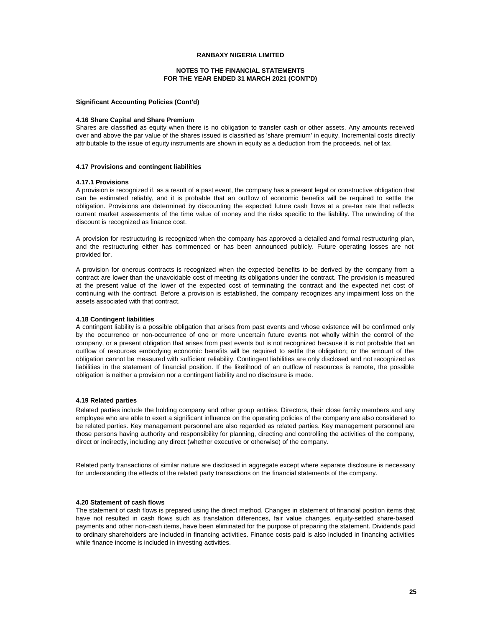## **FOR THE YEAR ENDED 31 MARCH 2021 (CONT'D) NOTES TO THE FINANCIAL STATEMENTS**

#### **Significant Accounting Policies (Cont'd)**

#### **4.16 Share Capital and Share Premium**

Shares are classified as equity when there is no obligation to transfer cash or other assets. Any amounts received over and above the par value of the shares issued is classified as 'share premium' in equity. Incremental costs directly attributable to the issue of equity instruments are shown in equity as a deduction from the proceeds, net of tax.

#### **4.17 Provisions and contingent liabilities**

### **4.17.1 Provisions**

A provision is recognized if, as a result of a past event, the company has a present legal or constructive obligation that can be estimated reliably, and it is probable that an outflow of economic benefits will be required to settle the obligation. Provisions are determined by discounting the expected future cash flows at a pre-tax rate that reflects current market assessments of the time value of money and the risks specific to the liability. The unwinding of the discount is recognized as finance cost.

A provision for restructuring is recognized when the company has approved a detailed and formal restructuring plan, and the restructuring either has commenced or has been announced publicly. Future operating losses are not provided for.

A provision for onerous contracts is recognized when the expected benefits to be derived by the company from a contract are lower than the unavoidable cost of meeting its obligations under the contract. The provision is measured at the present value of the lower of the expected cost of terminating the contract and the expected net cost of continuing with the contract. Before a provision is established, the company recognizes any impairment loss on the assets associated with that contract.

#### **4.18 Contingent liabilities**

A contingent liability is a possible obligation that arises from past events and whose existence will be confirmed only by the occurrence or non-occurrence of one or more uncertain future events not wholly within the control of the company, or a present obligation that arises from past events but is not recognized because it is not probable that an outflow of resources embodying economic benefits will be required to settle the obligation; or the amount of the obligation cannot be measured with sufficient reliability. Contingent liabilities are only disclosed and not recognized as liabilities in the statement of financial position. If the likelihood of an outflow of resources is remote, the possible obligation is neither a provision nor a contingent liability and no disclosure is made.

# **4.19 Related parties**

Related parties include the holding company and other group entities. Directors, their close family members and any employee who are able to exert a significant influence on the operating policies of the company are also considered to be related parties. Key management personnel are also regarded as related parties. Key management personnel are those persons having authority and responsibility for planning, directing and controlling the activities of the company, direct or indirectly, including any direct (whether executive or otherwise) of the company.

Related party transactions of similar nature are disclosed in aggregate except where separate disclosure is necessary for understanding the effects of the related party transactions on the financial statements of the company.

## **4.20 Statement of cash flows**

The statement of cash flows is prepared using the direct method. Changes in statement of financial position items that have not resulted in cash flows such as translation differences, fair value changes, equity-settled share-based payments and other non-cash items, have been eliminated for the purpose of preparing the statement. Dividends paid to ordinary shareholders are included in financing activities. Finance costs paid is also included in financing activities while finance income is included in investing activities.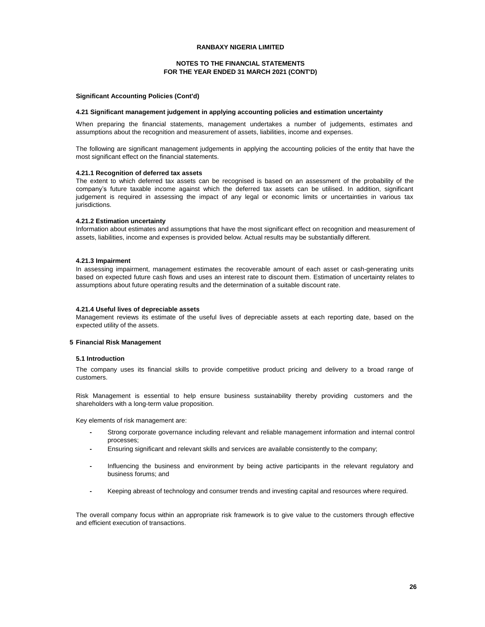## **NOTES TO THE FINANCIAL STATEMENTS FOR THE YEAR ENDED 31 MARCH 2021 (CONT'D)**

#### **Significant Accounting Policies (Cont'd)**

#### **4.21 Significant management judgement in applying accounting policies and estimation uncertainty**

When preparing the financial statements, management undertakes a number of judgements, estimates and assumptions about the recognition and measurement of assets, liabilities, income and expenses.

The following are significant management judgements in applying the accounting policies of the entity that have the most significant effect on the financial statements.

#### **4.21.1 Recognition of deferred tax assets**

The extent to which deferred tax assets can be recognised is based on an assessment of the probability of the company's future taxable income against which the deferred tax assets can be utilised. In addition, significant judgement is required in assessing the impact of any legal or economic limits or uncertainties in various tax jurisdictions.

#### **4.21.2 Estimation uncertainty**

Information about estimates and assumptions that have the most significant effect on recognition and measurement of assets, liabilities, income and expenses is provided below. Actual results may be substantially different.

#### **4.21.3 Impairment**

In assessing impairment, management estimates the recoverable amount of each asset or cash-generating units based on expected future cash flows and uses an interest rate to discount them. Estimation of uncertainty relates to assumptions about future operating results and the determination of a suitable discount rate.

#### **4.21.4 Useful lives of depreciable assets**

Management reviews its estimate of the useful lives of depreciable assets at each reporting date, based on the expected utility of the assets.

### **5 Financial Risk Management**

#### **5.1 Introduction**

The company uses its financial skills to provide competitive product pricing and delivery to a broad range of customers.

Risk Management is essential to help ensure business sustainability thereby providing customers and the shareholders with a long-term value proposition.

Key elements of risk management are:

- **-** Strong corporate governance including relevant and reliable management information and internal control processes;
- **-** Ensuring significant and relevant skills and services are available consistently to the company;
- **-** Influencing the business and environment by being active participants in the relevant regulatory and business forums; and
- **-** Keeping abreast of technology and consumer trends and investing capital and resources where required.

The overall company focus within an appropriate risk framework is to give value to the customers through effective and efficient execution of transactions.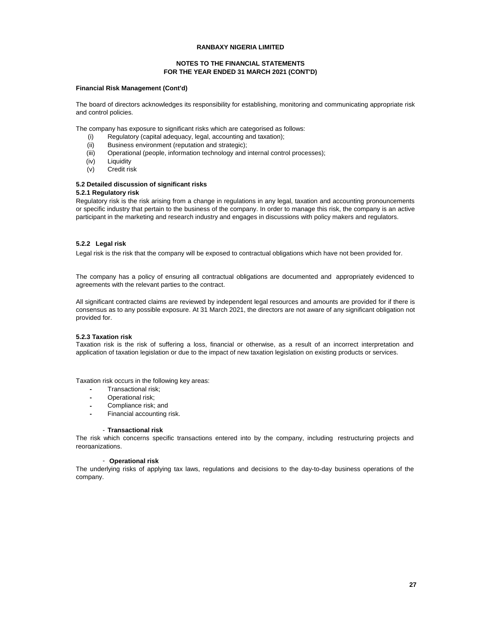## **FOR THE YEAR ENDED 31 MARCH 2021 (CONT'D) NOTES TO THE FINANCIAL STATEMENTS**

### **Financial Risk Management (Cont'd)**

The board of directors acknowledges its responsibility for establishing, monitoring and communicating appropriate risk and control policies.

The company has exposure to significant risks which are categorised as follows:

- (i) Regulatory (capital adequacy, legal, accounting and taxation);
- (ii) Business environment (reputation and strategic);
- (iii) Operational (people, information technology and internal control processes);
- (iv) Liquidity
- (v) Credit risk

## **5.2 Detailed discussion of significant risks**

## **5.2.1 Regulatory risk**

Regulatory risk is the risk arising from a change in regulations in any legal, taxation and accounting pronouncements or specific industry that pertain to the business of the company. In order to manage this risk, the company is an active participant in the marketing and research industry and engages in discussions with policy makers and regulators.

## **5.2.2 Legal risk**

Legal risk is the risk that the company will be exposed to contractual obligations which have not been provided for.

The company has a policy of ensuring all contractual obligations are documented and appropriately evidenced to agreements with the relevant parties to the contract.

All significant contracted claims are reviewed by independent legal resources and amounts are provided for if there is consensus as to any possible exposure. At 31 March 2021, the directors are not aware of any significant obligation not provided for.

## **5.2.3 Taxation risk**

Taxation risk is the risk of suffering a loss, financial or otherwise, as a result of an incorrect interpretation and application of taxation legislation or due to the impact of new taxation legislation on existing products or services.

Taxation risk occurs in the following key areas:

- **-** Transactional risk;
- **-** Operational risk;
- **-** Compliance risk; and
- **-** Financial accounting risk.

#### - **Transactional risk**

The risk which concerns specific transactions entered into by the company, including restructuring projects and reorganizations.

#### -  **Operational risk**

The underlying risks of applying tax laws, regulations and decisions to the day-to-day business operations of the company.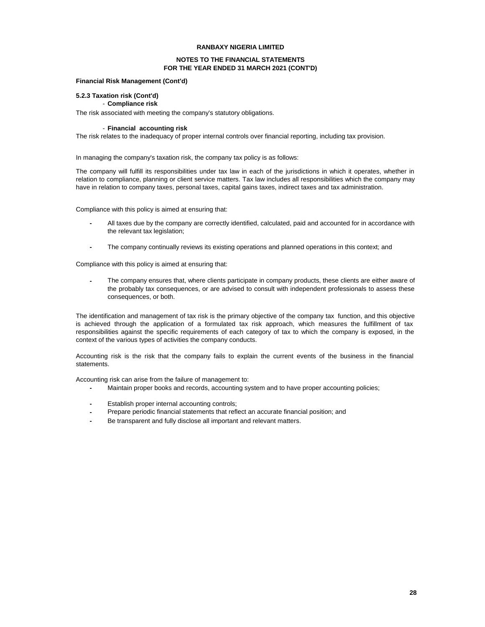### **NOTES TO THE FINANCIAL STATEMENTS FOR THE YEAR ENDED 31 MARCH 2021 (CONT'D)**

## **Financial Risk Management (Cont'd)**

## **5.2.3 Taxation risk (Cont'd)**

### - **Compliance risk**

The risk associated with meeting the company's statutory obligations.

#### - **Financial accounting risk**

The risk relates to the inadequacy of proper internal controls over financial reporting, including tax provision.

In managing the company's taxation risk, the company tax policy is as follows:

The company will fulfill its responsibilities under tax law in each of the jurisdictions in which it operates, whether in relation to compliance, planning or client service matters. Tax law includes all responsibilities which the company may have in relation to company taxes, personal taxes, capital gains taxes, indirect taxes and tax administration.

Compliance with this policy is aimed at ensuring that:

- **-** All taxes due by the company are correctly identified, calculated, paid and accounted for in accordance with the relevant tax legislation;
- **-** The company continually reviews its existing operations and planned operations in this context; and

Compliance with this policy is aimed at ensuring that:

**-** The company ensures that, where clients participate in company products, these clients are either aware of the probably tax consequences, or are advised to consult with independent professionals to assess these consequences, or both.

The identification and management of tax risk is the primary objective of the company tax function, and this objective is achieved through the application of a formulated tax risk approach, which measures the fulfillment of tax responsibilities against the specific requirements of each category of tax to which the company is exposed, in the context of the various types of activities the company conducts.

Accounting risk is the risk that the company fails to explain the current events of the business in the financial statements.

Accounting risk can arise from the failure of management to:

- **-** Maintain proper books and records, accounting system and to have proper accounting policies;
- **-** Establish proper internal accounting controls;
- **-** Prepare periodic financial statements that reflect an accurate financial position; and
- **-** Be transparent and fully disclose all important and relevant matters.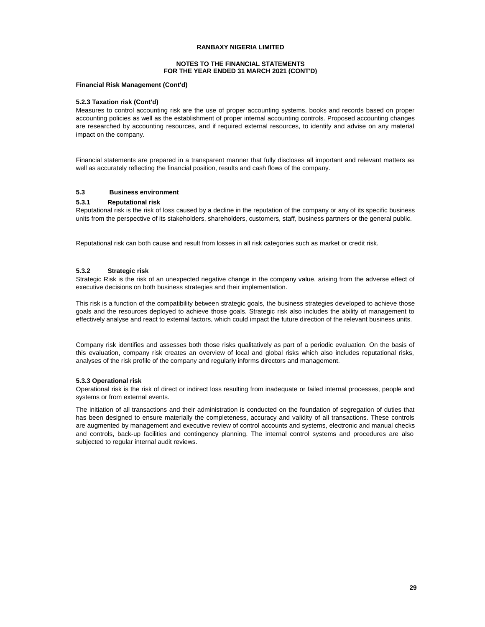#### **NOTES TO THE FINANCIAL STATEMENTS FOR THE YEAR ENDED 31 MARCH 2021 (CONT'D)**

#### **Financial Risk Management (Cont'd)**

#### **5.2.3 Taxation risk (Cont'd)**

Measures to control accounting risk are the use of proper accounting systems, books and records based on proper accounting policies as well as the establishment of proper internal accounting controls. Proposed accounting changes are researched by accounting resources, and if required external resources, to identify and advise on any material impact on the company.

Financial statements are prepared in a transparent manner that fully discloses all important and relevant matters as well as accurately reflecting the financial position, results and cash flows of the company.

## **5.3 Business environment**

#### **5.3.1 Reputational risk**

Reputational risk is the risk of loss caused by a decline in the reputation of the company or any of its specific business units from the perspective of its stakeholders, shareholders, customers, staff, business partners or the general public.

Reputational risk can both cause and result from losses in all risk categories such as market or credit risk.

## **5.3.2 Strategic risk**

Strategic Risk is the risk of an unexpected negative change in the company value, arising from the adverse effect of executive decisions on both business strategies and their implementation.

This risk is a function of the compatibility between strategic goals, the business strategies developed to achieve those goals and the resources deployed to achieve those goals. Strategic risk also includes the ability of management to effectively analyse and react to external factors, which could impact the future direction of the relevant business units.

Company risk identifies and assesses both those risks qualitatively as part of a periodic evaluation. On the basis of this evaluation, company risk creates an overview of local and global risks which also includes reputational risks, analyses of the risk profile of the company and regularly informs directors and management.

#### **5.3.3 Operational risk**

Operational risk is the risk of direct or indirect loss resulting from inadequate or failed internal processes, people and systems or from external events.

The initiation of all transactions and their administration is conducted on the foundation of segregation of duties that has been designed to ensure materially the completeness, accuracy and validity of all transactions. These controls are augmented by management and executive review of control accounts and systems, electronic and manual checks and controls, back-up facilities and contingency planning. The internal control systems and procedures are also subjected to regular internal audit reviews.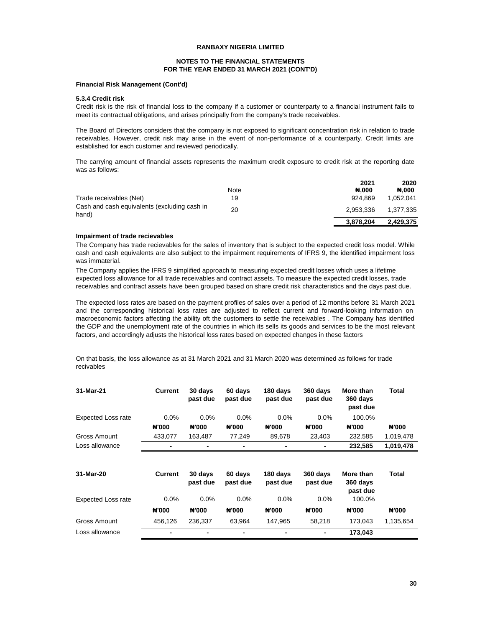## **FOR THE YEAR ENDED 31 MARCH 2021 (CONT'D) NOTES TO THE FINANCIAL STATEMENTS**

# **Financial Risk Management (Cont'd)**

#### **5.3.4 Credit risk**

Credit risk is the risk of financial loss to the company if a customer or counterparty to a financial instrument fails to meet its contractual obligations, and arises principally from the company's trade receivables.

The Board of Directors considers that the company is not exposed to significant concentration risk in relation to trade receivables. However, credit risk may arise in the event of non-performance of a counterparty. Credit limits are established for each customer and reviewed periodically.

The carrying amount of financial assets represents the maximum credit exposure to credit risk at the reporting date was as follows:

|                                                       | Note | 2021<br>#.000 | 2020<br>#.000 |
|-------------------------------------------------------|------|---------------|---------------|
| Trade receivables (Net)                               | 19   | 924.869       | 1.052.041     |
| Cash and cash equivalents (excluding cash in<br>hand) | 20   | 2.953.336     | 1.377.335     |
|                                                       |      | 3.878.204     | 2.429.375     |

#### **Impairment of trade recievables**

The Company has trade recievables for the sales of inventory that is subject to the expected credit loss model. While cash and cash equivalents are also subject to the impairment requirements of IFRS 9, the identified impairment loss was immaterial.

The Company applies the IFRS 9 simplified approach to measuring expected credit losses which uses a lifetime expected loss allowance for all trade receivables and contract assets. To measure the expected credit losses, trade receivables and contract assets have been grouped based on share credit risk characteristics and the days past due.

The expected loss rates are based on the payment profiles of sales over a period of 12 months before 31 March 2021 and the corresponding historical loss rates are adjusted to reflect current and forward-looking information on macroeconomic factors affecting the ability oft the customers to settle the receivables . The Company has identified the GDP and the unemployment rate of the countries in which its sells its goods and services to be the most relevant factors, and accordingly adjusts the historical loss rates based on expected changes in these factors

On that basis, the loss allowance as at 31 March 2021 and 31 March 2020 was determined as follows for trade recivables

| 31-Mar-21                 | <b>Current</b> | 30 days<br>past due | 60 days<br>past due | 180 days<br>past due | 360 days<br>past due | More than<br>360 days<br>past due | Total     |
|---------------------------|----------------|---------------------|---------------------|----------------------|----------------------|-----------------------------------|-----------|
| <b>Expected Loss rate</b> | 0.0%           | 0.0%                | 0.0%                | 0.0%                 | 0.0%                 | 100.0%                            |           |
|                           | #'000          | #'000               | #'000               | #'000                | #'000                | #'000                             | #'000     |
| Gross Amount              | 433,077        | 163,487             | 77,249              | 89,678               | 23,403               | 232,585                           | 1,019,478 |
| Loss allowance            |                |                     |                     |                      |                      | 232,585                           | 1,019,478 |
| 31-Mar-20                 | <b>Current</b> | 30 days<br>past due | 60 days<br>past due | 180 days<br>past due | 360 days<br>past due | More than<br>360 days<br>past due | Total     |
| <b>Expected Loss rate</b> | 0.0%           | 0.0%                | 0.0%                | 0.0%                 | 0.0%                 | 100.0%                            |           |
|                           | #'000          | #'000               | #'000               | #'000                | ₩'000                | #'000                             | ₩'000     |
| Gross Amount              | 456,126        | 236,337             | 63,964              | 147,965              | 58,218               | 173,043                           | 1,135,654 |
| Loss allowance            |                |                     |                     |                      |                      | 173,043                           |           |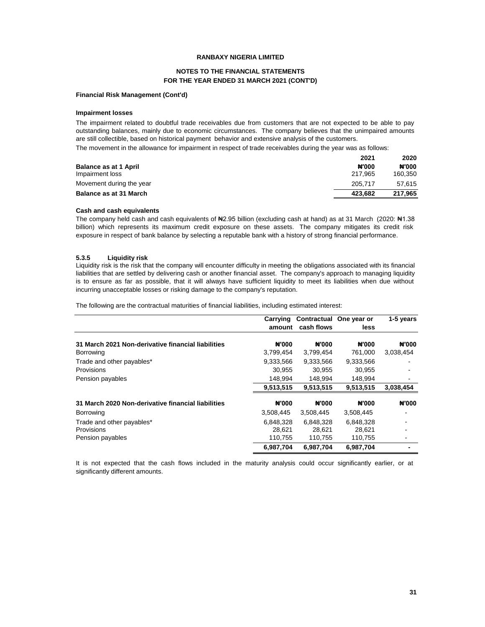## **NOTES TO THE FINANCIAL STATEMENTS FOR THE YEAR ENDED 31 MARCH 2021 (CONT'D)**

#### **Financial Risk Management (Cont'd)**

#### **Impairment losses**

The impairment related to doubtful trade receivables due from customers that are not expected to be able to pay outstanding balances, mainly due to economic circumstances. The company believes that the unimpaired amounts are still collectible, based on historical payment behavior and extensive analysis of the customers. The movement in the allowance for impairment in respect of trade receivables during the year was as follows:

**2021 2020 ₦'000 ₦'000** Impairment loss Movement during the year 205,717 57,615 **Balance as at 1 April**

## **Balance as at 31 March**

#### **Cash and cash equivalents**

The company held cash and cash equivalents of ₦2.95 billion (excluding cash at hand) as at 31 March (2020: ₦1.38 billion) which represents its maximum credit exposure on these assets. The company mitigates its credit risk exposure in respect of bank balance by selecting a reputable bank with a history of strong financial performance.

## **5.3.5 Liquidity risk**

Liquidity risk is the risk that the company will encounter difficulty in meeting the obligations associated with its financial liabilities that are settled by delivering cash or another financial asset. The company's approach to managing liquidity is to ensure as far as possible, that it will always have sufficient liquidity to meet its liabilities when due without incurring unacceptable losses or risking damage to the company's reputation.

The following are the contractual maturities of financial liabilities, including estimated interest:

|                                                    | Carrying<br>amount | cash flows | Contractual One year or<br>less | 1-5 years |
|----------------------------------------------------|--------------------|------------|---------------------------------|-----------|
| 31 March 2021 Non-derivative financial liabilities | #'000              | #'000      | #'000                           | #'000     |
| Borrowing                                          | 3,799,454          | 3,799,454  | 761,000                         | 3,038,454 |
| Trade and other payables*                          | 9,333,566          | 9,333,566  | 9,333,566                       |           |
| Provisions                                         | 30,955             | 30,955     | 30,955                          |           |
| Pension payables                                   | 148.994            | 148.994    | 148,994                         |           |
|                                                    | 9,513,515          | 9,513,515  | 9,513,515                       | 3,038,454 |
| 31 March 2020 Non-derivative financial liabilities | #'000              | #'000      | #'000                           | #'000     |
| Borrowing                                          | 3,508,445          | 3,508,445  | 3,508,445                       |           |
| Trade and other payables*                          | 6,848,328          | 6,848,328  | 6,848,328                       |           |
| Provisions                                         | 28.621             | 28.621     | 28,621                          |           |
| Pension payables                                   | 110,755            | 110,755    | 110,755                         |           |
|                                                    | 6.987.704          | 6.987.704  | 6.987.704                       |           |

It is not expected that the cash flows included in the maturity analysis could occur significantly earlier, or at significantly different amounts.

**423,682 217,965**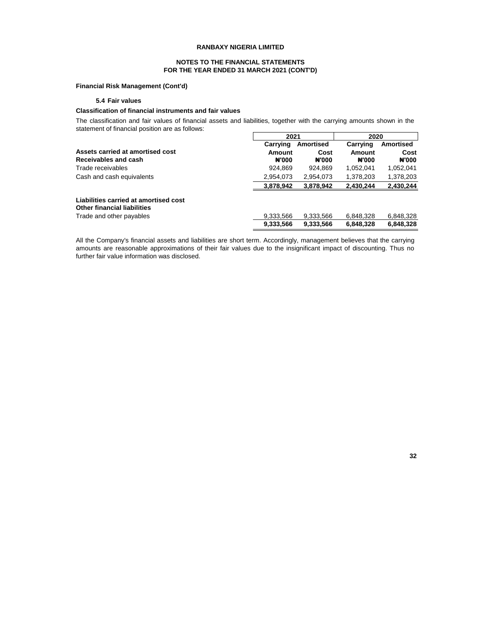## **NOTES TO THE FINANCIAL STATEMENTS FOR THE YEAR ENDED 31 MARCH 2021 (CONT'D)**

## **Financial Risk Management (Cont'd)**

## **5.4 Fair values**

### **Classification of financial instruments and fair values**

The classification and fair values of financial assets and liabilities, together with the carrying amounts shown in the statement of financial position are as follows:  $\Gamma$ ┯  $\overline{\mathsf{I}}$ 

|                                                                             | 2021      |           | 2020      |           |  |
|-----------------------------------------------------------------------------|-----------|-----------|-----------|-----------|--|
|                                                                             | Carrying  | Amortised | Carrying  | Amortised |  |
| Assets carried at amortised cost                                            | Amount    | Cost      | Amount    | Cost      |  |
| Receivables and cash                                                        | #'000     | #'000     | #'000     | #'000     |  |
| Trade receivables                                                           | 924.869   | 924.869   | 1,052,041 | 1,052,041 |  |
| Cash and cash equivalents                                                   | 2,954,073 | 2.954.073 | 1,378,203 | 1,378,203 |  |
|                                                                             | 3,878,942 | 3,878,942 | 2,430,244 | 2,430,244 |  |
| Liabilities carried at amortised cost<br><b>Other financial liabilities</b> |           |           |           |           |  |
| Trade and other payables                                                    | 9,333,566 | 9.333.566 | 6,848,328 | 6,848,328 |  |
|                                                                             | 9,333,566 | 9,333,566 | 6,848,328 | 6,848,328 |  |

All the Company's financial assets and liabilities are short term. Accordingly, management believes that the carrying amounts are reasonable approximations of their fair values due to the insignificant impact of discounting. Thus no further fair value information was disclosed.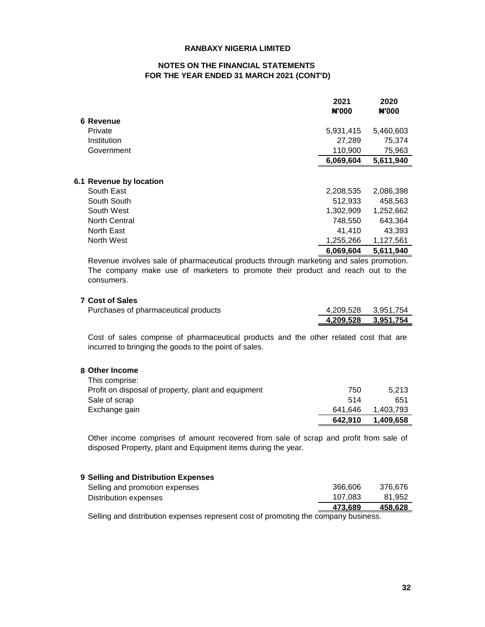# **NOTES ON THE FINANCIAL STATEMENTS FOR THE YEAR ENDED 31 MARCH 2021 (CONT'D)**

|                         | 2021<br>#'000 | 2020<br>#'000 |
|-------------------------|---------------|---------------|
| 6 Revenue               |               |               |
| Private                 | 5,931,415     | 5,460,603     |
| Institution             | 27,289        | 75,374        |
| Government              | 110,900       | 75,963        |
|                         | 6,069,604     | 5,611,940     |
| 6.1 Revenue by location |               |               |
| South East              | 2,208,535     | 2,086,398     |
| South South             | 512,933       | 458,563       |
| South West              | 1,302,909     | 1,252,662     |
| <b>North Central</b>    | 748,550       | 643,364       |
| North East              | 41,410        | 43,393        |
| North West              | 1,255,266     | 1,127,561     |
|                         | 6,069,604     | 5,611,940     |

Revenue involves sale of pharmaceutical products through marketing and sales promotion. The company make use of marketers to promote their product and reach out to the consumers.

# **7 Cost of Sales**

| Purchases of pharmaceutical products | 4.209.528 3.951.754 |  |
|--------------------------------------|---------------------|--|
|                                      | 4.209.528 3.951.754 |  |
|                                      |                     |  |

Cost of sales comprise of pharmaceutical products and the other related cost that are incurred to bringing the goods to the point of sales.

# **8 Other Income**

|                                                     | 642.910 | 1,409,658 |
|-----------------------------------------------------|---------|-----------|
| Exchange gain                                       | 641.646 | 1.403.793 |
| Sale of scrap                                       | 514     | 651       |
| Profit on disposal of property, plant and equipment | 750     | 5.213     |
| This comprise:                                      |         |           |

Other income comprises of amount recovered from sale of scrap and profit from sale of disposed Property, plant and Equipment items during the year.

# **9 Selling and Distribution Expenses** Selling and promotion expenses<br>
Distribution expenses<br>
266,606 376,676<br>
365,606 376,676<br>
365,606 376,676 Distribution expenses 107,083 81,952  **473,689 458,628**

Selling and distribution expenses represent cost of promoting the company business.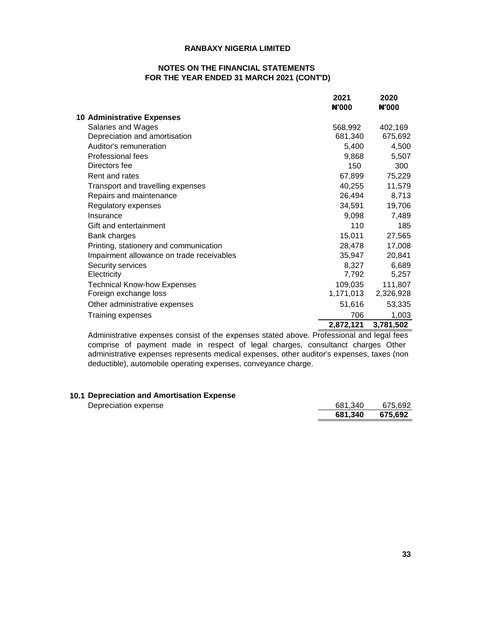# **NOTES ON THE FINANCIAL STATEMENTS FOR THE YEAR ENDED 31 MARCH 2021 (CONT'D)**

|                                           | 2021      | 2020      |
|-------------------------------------------|-----------|-----------|
|                                           | #'000     | #'000     |
| <b>10 Administrative Expenses</b>         |           |           |
| Salaries and Wages                        | 568,992   | 402,169   |
| Depreciation and amortisation             | 681,340   | 675,692   |
| Auditor's remuneration                    | 5,400     | 4,500     |
| Professional fees                         | 9,868     | 5,507     |
| Directors fee                             | 150       | 300       |
| Rent and rates                            | 67,899    | 75,229    |
| Transport and travelling expenses         | 40,255    | 11,579    |
| Repairs and maintenance                   | 26,494    | 8,713     |
| Regulatory expenses                       | 34,591    | 19,706    |
| Insurance                                 | 9,098     | 7,489     |
| Gift and entertainment                    | 110       | 185       |
| Bank charges                              | 15,011    | 27,565    |
| Printing, stationery and communication    | 28,478    | 17,008    |
| Impairment allowance on trade receivables | 35,947    | 20,841    |
| Security services                         | 8,327     | 6,689     |
| Electricity                               | 7,792     | 5,257     |
| Technical Know-how Expenses               | 109,035   | 111,807   |
| Foreign exchange loss                     | 1,171,013 | 2,326,928 |
| Other administrative expenses             | 51,616    | 53,335    |
| Training expenses                         | 706       | 1,003     |
|                                           | 2,872,121 | 3,781,502 |

Administrative expenses consist of the expenses stated above. Professional and legal fees comprise of payment made in respect of legal charges, consultanct charges Other administrative expenses represents medical expenses, other auditor's expenses, taxes (non deductible), automobile operating expenses, conveyance charge.

# **10.1 Depreciation and Amortisation Expense**

| Depreciation expense | 681.340 | 675.692 |
|----------------------|---------|---------|
|                      | 681.340 | 675.692 |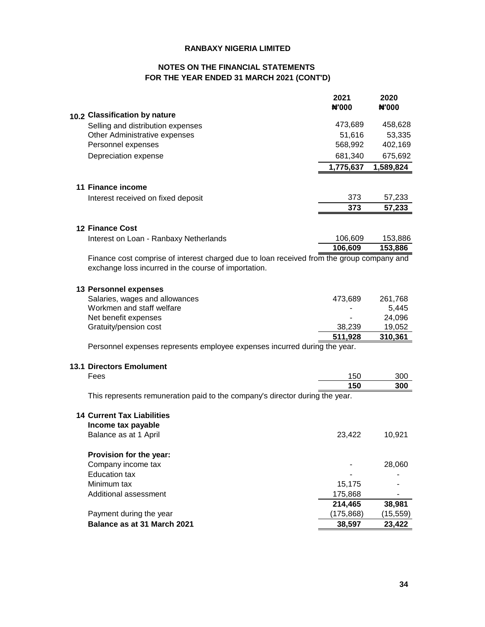# **NOTES ON THE FINANCIAL STATEMENTS FOR THE YEAR ENDED 31 MARCH 2021 (CONT'D)**

|                                                                                           | 2021<br>#'000      | 2020<br>#'000      |
|-------------------------------------------------------------------------------------------|--------------------|--------------------|
| 10.2 Classification by nature                                                             |                    |                    |
| Selling and distribution expenses                                                         | 473,689            | 458,628            |
| Other Administrative expenses<br>Personnel expenses                                       | 51,616<br>568,992  | 53,335<br>402,169  |
| Depreciation expense                                                                      | 681,340            | 675,692            |
|                                                                                           | 1,775,637          | 1,589,824          |
|                                                                                           |                    |                    |
| 11 Finance income                                                                         |                    |                    |
| Interest received on fixed deposit                                                        | 373                | 57,233             |
|                                                                                           | 373                | 57,233             |
|                                                                                           |                    |                    |
| <b>12 Finance Cost</b>                                                                    |                    |                    |
| Interest on Loan - Ranbaxy Netherlands                                                    | 106,609<br>106,609 | 153,886<br>153,886 |
| Finance cost comprise of interest charged due to loan received from the group company and |                    |                    |
| exchange loss incurred in the course of importation.                                      |                    |                    |
| <b>13 Personnel expenses</b>                                                              |                    |                    |
| Salaries, wages and allowances                                                            | 473,689            | 261,768            |
| Workmen and staff welfare                                                                 |                    | 5,445              |
| Net benefit expenses                                                                      |                    | 24,096             |
| Gratuity/pension cost                                                                     | 38,239<br>511,928  | 19,052<br>310,361  |
| Personnel expenses represents employee expenses incurred during the year.                 |                    |                    |
| <b>13.1 Directors Emolument</b>                                                           |                    |                    |
| Fees                                                                                      | 150                | 300                |
|                                                                                           | 150                | 300                |
| This represents remuneration paid to the company's director during the year.              |                    |                    |
| <b>14 Current Tax Liabilities</b><br>Income tax payable                                   |                    |                    |
| Balance as at 1 April                                                                     | 23,422             | 10,921             |
|                                                                                           |                    |                    |
| Provision for the year:                                                                   |                    |                    |
| Company income tax                                                                        |                    | 28,060             |
| <b>Education tax</b>                                                                      |                    |                    |
| Minimum tax                                                                               | 15,175             |                    |
| Additional assessment                                                                     | 175,868            |                    |
|                                                                                           | 214,465            | 38,981             |
| Payment during the year                                                                   | (175, 868)         | (15, 559)          |
| Balance as at 31 March 2021                                                               | 38,597             | 23,422             |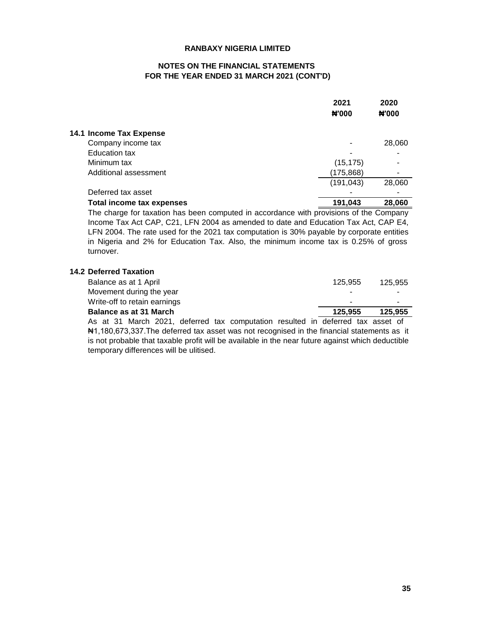# **NOTES ON THE FINANCIAL STATEMENTS FOR THE YEAR ENDED 31 MARCH 2021 (CONT'D)**

|                                  | 2021<br>#'000 | 2020<br>#'000 |
|----------------------------------|---------------|---------------|
| 14.1 Income Tax Expense          |               |               |
| Company income tax               |               | 28,060        |
| <b>Education tax</b>             |               |               |
| Minimum tax                      | (15, 175)     |               |
| Additional assessment            | (175,868)     |               |
|                                  | (191, 043)    | 28,060        |
| Deferred tax asset               |               |               |
| <b>Total income tax expenses</b> | 191,043       | 28,060        |

The charge for taxation has been computed in accordance with provisions of the Company Income Tax Act CAP, C21, LFN 2004 as amended to date and Education Tax Act, CAP E4, LFN 2004. The rate used for the 2021 tax computation is 30% payable by corporate entities in Nigeria and 2% for Education Tax. Also, the minimum income tax is 0.25% of gross turnover.

| <b>14.2 Deferred Taxation</b>                                                                                                                                                                                                    |         |         |
|----------------------------------------------------------------------------------------------------------------------------------------------------------------------------------------------------------------------------------|---------|---------|
| Balance as at 1 April                                                                                                                                                                                                            | 125.955 | 125.955 |
| Movement during the year                                                                                                                                                                                                         |         | ۰       |
| Write-off to retain earnings                                                                                                                                                                                                     | -       |         |
| <b>Balance as at 31 March</b>                                                                                                                                                                                                    | 125.955 | 125,955 |
| $\mathbf{A}$ , as a set of the set of the set of the set of the set of the set of the set of the set of the set of the set of the set of the set of the set of the set of the set of the set of the set of the set of the set of |         |         |

As at 31 March 2021, deferred tax computation resulted in deferred tax asset of ₦1,180,673,337.The deferred tax asset was not recognised in the financial statements as it is not probable that taxable profit will be available in the near future against which deductible temporary differences will be ulitised.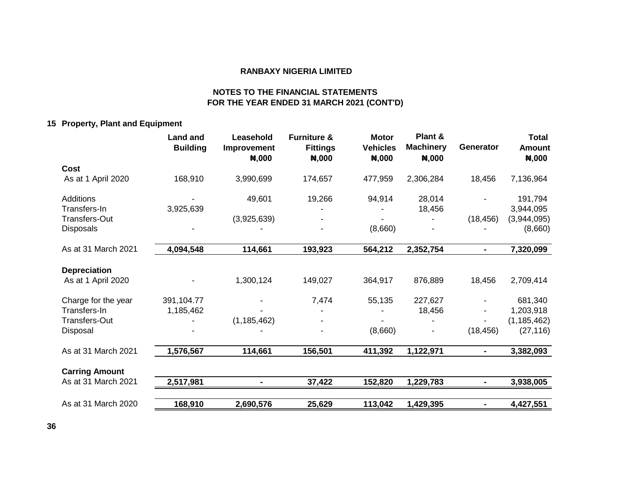# **NOTES TO THE FINANCIAL STATEMENTS FOR THE YEAR ENDED 31 MARCH 2021 (CONT'D)**

# **15 Property, Plant and Equipment**

|                                           | <b>Land and</b><br><b>Building</b> | Leasehold<br>Improvement<br>H,000 | <b>Furniture &amp;</b><br><b>Fittings</b><br>H,000 | <b>Motor</b><br><b>Vehicles</b><br>H,000 | Plant &<br><b>Machinery</b><br>H,000 | <b>Generator</b> | <b>Total</b><br><b>Amount</b><br>#,000 |
|-------------------------------------------|------------------------------------|-----------------------------------|----------------------------------------------------|------------------------------------------|--------------------------------------|------------------|----------------------------------------|
| <b>Cost</b>                               |                                    |                                   |                                                    |                                          |                                      |                  |                                        |
| As at 1 April 2020                        | 168,910                            | 3,990,699                         | 174,657                                            | 477,959                                  | 2,306,284                            | 18,456           | 7,136,964                              |
| <b>Additions</b>                          |                                    | 49,601                            | 19,266                                             | 94,914                                   | 28,014                               |                  | 191,794                                |
| Transfers-In                              | 3,925,639                          |                                   |                                                    |                                          | 18,456                               |                  | 3,944,095                              |
| <b>Transfers-Out</b>                      |                                    | (3,925,639)                       |                                                    |                                          |                                      | (18, 456)        | (3,944,095)                            |
| <b>Disposals</b>                          |                                    |                                   |                                                    | (8,660)                                  |                                      |                  | (8,660)                                |
| As at 31 March 2021                       | 4,094,548                          | 114,661                           | 193,923                                            | 564,212                                  | 2,352,754                            |                  | 7,320,099                              |
| <b>Depreciation</b><br>As at 1 April 2020 |                                    | 1,300,124                         | 149,027                                            | 364,917                                  | 876,889                              | 18,456           | 2,709,414                              |
| Charge for the year                       | 391,104.77                         |                                   | 7,474                                              | 55,135                                   | 227,627                              |                  | 681,340                                |
| Transfers-In                              | 1,185,462                          |                                   |                                                    |                                          | 18,456                               |                  | 1,203,918                              |
| <b>Transfers-Out</b>                      |                                    | (1, 185, 462)                     |                                                    |                                          |                                      |                  | (1, 185, 462)                          |
| Disposal                                  |                                    |                                   |                                                    | (8,660)                                  |                                      | (18, 456)        | (27, 116)                              |
| As at 31 March 2021                       | 1,576,567                          | 114,661                           | 156,501                                            | 411,392                                  | 1,122,971                            | $\blacksquare$   | 3,382,093                              |
| <b>Carring Amount</b>                     |                                    |                                   |                                                    |                                          |                                      |                  |                                        |
| As at 31 March 2021                       | 2,517,981                          |                                   | 37,422                                             | 152,820                                  | 1,229,783                            |                  | 3,938,005                              |
| As at 31 March 2020                       | 168,910                            | 2,690,576                         | 25,629                                             | 113,042                                  | 1,429,395                            | $\blacksquare$   | 4,427,551                              |
|                                           |                                    |                                   |                                                    |                                          |                                      |                  |                                        |

**36**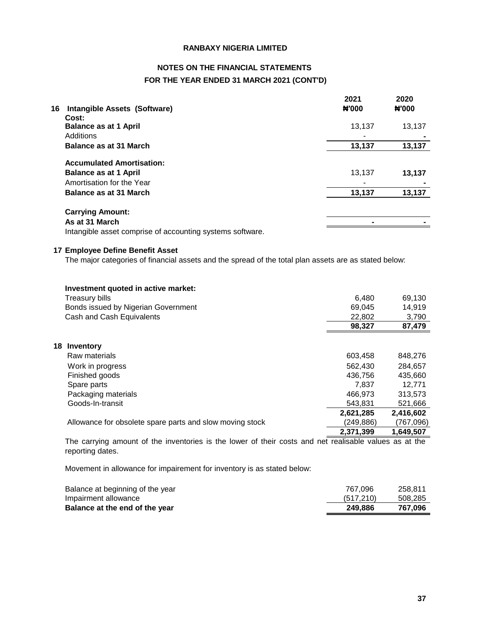# **NOTES ON THE FINANCIAL STATEMENTS FOR THE YEAR ENDED 31 MARCH 2021 (CONT'D)**

|                                                           | 2021   | 2020   |
|-----------------------------------------------------------|--------|--------|
| Intangible Assets (Software)<br>16                        | #'000  | #'000  |
| Cost:                                                     |        |        |
| <b>Balance as at 1 April</b>                              | 13.137 | 13,137 |
| Additions                                                 |        |        |
| Balance as at 31 March                                    | 13,137 | 13,137 |
| <b>Accumulated Amortisation:</b>                          |        |        |
| <b>Balance as at 1 April</b>                              | 13,137 | 13,137 |
| Amortisation for the Year                                 |        |        |
| Balance as at 31 March                                    | 13,137 | 13,137 |
| <b>Carrying Amount:</b>                                   |        |        |
| As at 31 March                                            |        |        |
| Intangible asset comprise of accounting systems software. |        |        |

# **17 Employee Define Benefit Asset**

The major categories of financial assets and the spread of the total plan assets are as stated below:

| Investment quoted in active market:                      |           |           |
|----------------------------------------------------------|-----------|-----------|
| Treasury bills                                           | 6.480     | 69,130    |
| Bonds issued by Nigerian Government                      | 69.045    | 14.919    |
| Cash and Cash Equivalents                                | 22,802    | 3,790     |
|                                                          | 98,327    | 87,479    |
| 18<br>Inventory                                          |           |           |
| Raw materials                                            | 603,458   | 848,276   |
| Work in progress                                         | 562,430   | 284,657   |
| Finished goods                                           | 436,756   | 435,660   |
| Spare parts                                              | 7.837     | 12.771    |
| Packaging materials                                      | 466.973   | 313,573   |
| Goods-In-transit                                         | 543.831   | 521,666   |
|                                                          | 2,621,285 | 2,416,602 |
| Allowance for obsolete spare parts and slow moving stock | (249,886) | (767,096) |
|                                                          | 2.371.399 | 1.649.507 |

The carrying amount of the inventories is the lower of their costs and net realisable values as at the reporting dates.

Movement in allowance for impairement for inventory is as stated below:

| Balance at beginning of the year | 767.096   | 258.811 |
|----------------------------------|-----------|---------|
| Impairment allowance             | (517.210) | 508,285 |
| Balance at the end of the year   | 249.886   | 767.096 |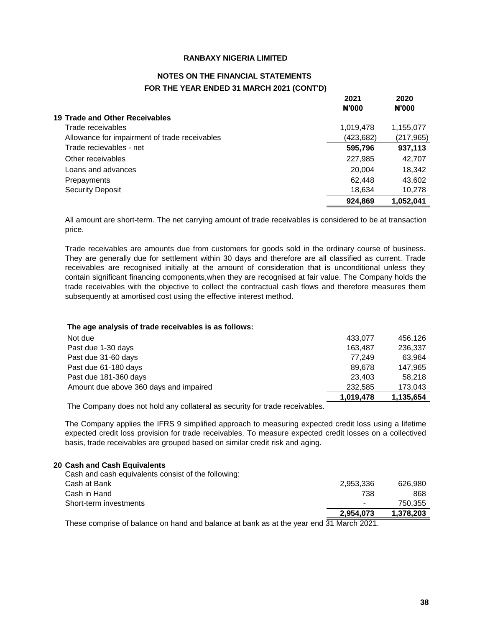# **NOTES ON THE FINANCIAL STATEMENTS FOR THE YEAR ENDED 31 MARCH 2021 (CONT'D)**

|                                               | 2021<br>#'000 | 2020<br>#'000 |
|-----------------------------------------------|---------------|---------------|
| 19 Trade and Other Receivables                |               |               |
| Trade receivables                             | 1,019,478     | 1,155,077     |
| Allowance for impairment of trade receivables | (423,682)     | (217, 965)    |
| Trade recievables - net                       | 595,796       | 937,113       |
| Other receivables                             | 227,985       | 42,707        |
| Loans and advances                            | 20.004        | 18,342        |
| Prepayments                                   | 62.448        | 43,602        |
| <b>Security Deposit</b>                       | 18.634        | 10,278        |
|                                               | 924.869       | 1.052.041     |

All amount are short-term. The net carrying amount of trade receivables is considered to be at transaction price.

Trade receivables are amounts due from customers for goods sold in the ordinary course of business. They are generally due for settlement within 30 days and therefore are all classified as current. Trade receivables are recognised initially at the amount of consideration that is unconditional unless they contain significant financing components,when they are recognised at fair value. The Company holds the trade receivables with the objective to collect the contractual cash flows and therefore measures them subsequently at amortised cost using the effective interest method.

## **The age analysis of trade receivables is as follows:**

| Not due                                | 433,077   | 456.126   |
|----------------------------------------|-----------|-----------|
| Past due 1-30 days                     | 163.487   | 236,337   |
| Past due 31-60 days                    | 77.249    | 63.964    |
| Past due 61-180 days                   | 89.678    | 147,965   |
| Past due 181-360 days                  | 23.403    | 58.218    |
| Amount due above 360 days and impaired | 232.585   | 173.043   |
|                                        | 1,019,478 | 1,135,654 |

The Company does not hold any collateral as security for trade receivables.

The Company applies the IFRS 9 simplified approach to measuring expected credit loss using a lifetime expected credit loss provision for trade receivables. To measure expected credit losses on a collectived basis, trade receivables are grouped based on similar credit risk and aging.

## **20 Cash and Cash Equivalents**

|                                                     | ----           |           |
|-----------------------------------------------------|----------------|-----------|
|                                                     | 2.954.073      | 1,378,203 |
| Short-term investments                              | $\blacksquare$ | 750.355   |
| Cash in Hand                                        | 738            | 868       |
| Cash at Bank                                        | 2,953,336      | 626,980   |
| Cash and cash equivalents consist of the following: |                |           |

These comprise of balance on hand and balance at bank as at the year end 31 March 2021.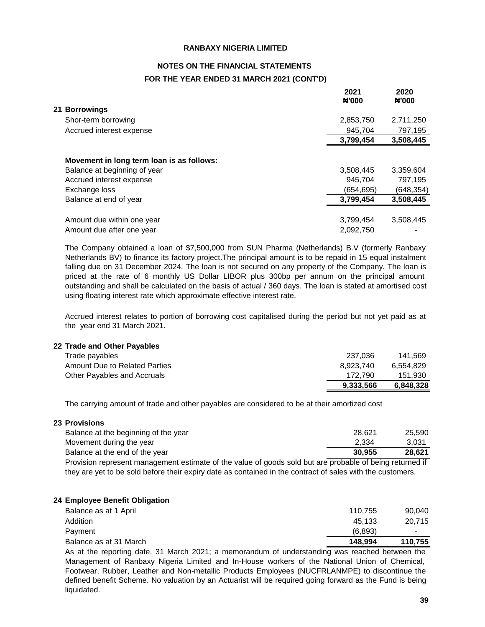# **NOTES ON THE FINANCIAL STATEMENTS FOR THE YEAR ENDED 31 MARCH 2021 (CONT'D)**

|                                           | 2021<br>#'000 | 2020<br>#'000 |
|-------------------------------------------|---------------|---------------|
| 21 Borrowings                             |               |               |
| Shor-term borrowing                       | 2,853,750     | 2,711,250     |
| Accrued interest expense                  | 945.704       | 797.195       |
|                                           | 3,799,454     | 3,508,445     |
|                                           |               |               |
| Movement in long term loan is as follows: |               |               |
| Balance at beginning of year              | 3,508,445     | 3,359,604     |
| Accrued interest expense                  | 945.704       | 797,195       |
| Exchange loss                             | (654,695)     | (648,354)     |
| Balance at end of year                    | 3,799,454     | 3,508,445     |
|                                           |               |               |
| Amount due within one year                | 3,799,454     | 3,508,445     |
| Amount due after one year                 | 2,092,750     |               |

The Company obtained a loan of \$7,500,000 from SUN Pharma (Netherlands) B.V (formerly Ranbaxy Netherlands BV) to finance its factory project.The principal amount is to be repaid in 15 equal instalment falling due on 31 December 2024. The loan is not secured on any property of the Company. The loan is priced at the rate of 6 monthly US Dollar LIBOR plus 300bp per annum on the principal amount outstanding and shall be calculated on the basis of actual / 360 days. The loan is stated at amortised cost using floating interest rate which approximate effective interest rate.

Accrued interest relates to portion of borrowing cost capitalised during the period but not yet paid as at the year end 31 March 2021.

## **22 Trade and Other Payables**

|                               | 9.333.566 | 6.848.328 |
|-------------------------------|-----------|-----------|
| Other Payables and Accruals   | 172.790   | 151.930   |
| Amount Due to Related Parties | 8.923.740 | 6.554.829 |
| Trade payables                | 237.036   | 141.569   |

The carrying amount of trade and other payables are considered to be at their amortized cost

# **23 Provisions**

| Balance at the beginning of the year                                                                      | 28.621 | 25.590 |
|-----------------------------------------------------------------------------------------------------------|--------|--------|
| Movement during the year                                                                                  | 2.334  | 3.031  |
| Balance at the end of the year                                                                            | 30.955 | 28.621 |
| Drovision represent monograment estimate of the value of goods sold but are probable of being returned if |        |        |

Provision represent management estimate of the value of goods sold but are probable of being returned if they are yet to be sold before their expiry date as contained in the contract of sales with the customers.

# **24 Employee Benefit Obligation**

| Balance as at 1 April  | 110.755 | 90.040  |
|------------------------|---------|---------|
| Addition               | 45.133  | 20.715  |
| Payment                | (6,893) |         |
| Balance as at 31 March | 148.994 | 110.755 |

As at the reporting date, 31 March 2021; a memorandum of understanding was reached between the Management of Ranbaxy Nigeria Limited and In-House workers of the National Union of Chemical, Footwear, Rubber, Leather and Non-metallic Products Employees (NUCFRLANMPE) to discontinue the defined benefit Scheme. No valuation by an Actuarist will be required going forward as the Fund is being liquidated.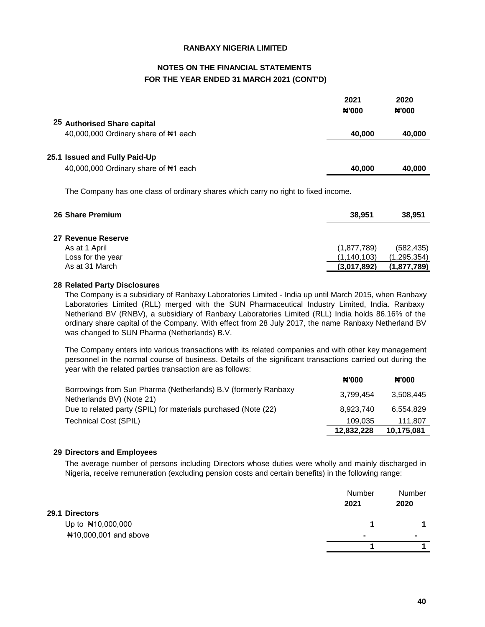# **FOR THE YEAR ENDED 31 MARCH 2021 (CONT'D) NOTES ON THE FINANCIAL STATEMENTS**

|                                      | 2021   | 2020         |
|--------------------------------------|--------|--------------|
|                                      | #'000  | <b>#'000</b> |
| 25 Authorised Share capital          |        |              |
| 40,000,000 Ordinary share of #1 each | 40.000 | 40,000       |
|                                      |        |              |
| 25.1 Issued and Fully Paid-Up        |        |              |
| 40,000,000 Ordinary share of #1 each | 40.000 | 40.000       |

The Company has one class of ordinary shares which carry no right to fixed income.

| 26 Share Premium   | 38.951        | 38,951      |
|--------------------|---------------|-------------|
| 27 Revenue Reserve |               |             |
| As at 1 April      | (1,877,789)   | (582, 435)  |
| Loss for the year  | (1, 140, 103) | (1,295,354) |
| As at 31 March     | (3,017,892)   | (1,877,789) |

# **28 Related Party Disclosures**

The Company is a subsidiary of Ranbaxy Laboratories Limited - India up until March 2015, when Ranbaxy Laboratories Limited (RLL) merged with the SUN Pharmaceutical Industry Limited, India. Ranbaxy Netherland BV (RNBV), a subsidiary of Ranbaxy Laboratories Limited (RLL) India holds 86.16% of the ordinary share capital of the Company. With effect from 28 July 2017, the name Ranbaxy Netherland BV was changed to SUN Pharma (Netherlands) B.V.

The Company enters into various transactions with its related companies and with other key management personnel in the normal course of business. Details of the significant transactions carried out during the year with the related parties transaction are as follows:

| <b>Technical Cost (SPIL)</b>                                                                | 109.035            | 111.807            |
|---------------------------------------------------------------------------------------------|--------------------|--------------------|
| Netherlands BV) (Note 21)<br>Due to related party (SPIL) for materials purchased (Note (22) | 8.923.740          | 6.554.829          |
| Borrowings from Sun Pharma (Netherlands) B.V (formerly Ranbaxy                              | #'000<br>3.799.454 | #'000<br>3.508.445 |

# **29 Directors and Employees**

The average number of persons including Directors whose duties were wholly and mainly discharged in Nigeria, receive remuneration (excluding pension costs and certain benefits) in the following range:

|                       | Number<br>2021 | <b>Number</b><br>2020 |
|-----------------------|----------------|-----------------------|
| 29.1 Directors        |                |                       |
| Up to #10,000,000     |                |                       |
| #10,000,001 and above |                |                       |
|                       |                |                       |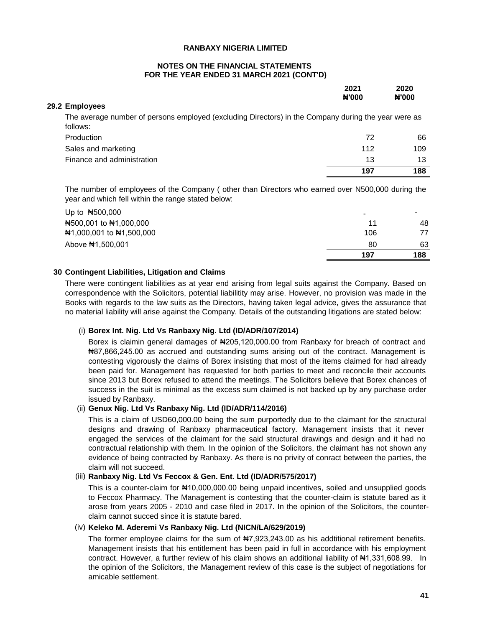## **NOTES ON THE FINANCIAL STATEMENTS FOR THE YEAR ENDED 31 MARCH 2021 (CONT'D)**

|                | 2021         | 2020  |
|----------------|--------------|-------|
|                | <b>#'000</b> | #'000 |
| 29.2 Employees |              |       |

The average number of persons employed (excluding Directors) in the Company during the year were as follows:

| Production                 | 72  | 66  |
|----------------------------|-----|-----|
| Sales and marketing        | 112 | 109 |
| Finance and administration | 13  |     |
|                            | 197 | 188 |

The number of employees of the Company ( other than Directors who earned over N500,000 during the year and which fell within the range stated below:

|                                            | 197 | 188 |
|--------------------------------------------|-----|-----|
| Above <b>N</b> 1,500,001                   | 80  | 63  |
| $\text{N}1,000,001$ to $\text{N}1,500,000$ | 106 | 77  |
| Net 500,001 to Net 1,000,000               | 11  | 48  |
| Up to $\frac{1}{2}500,000$                 | -   |     |

# **30 Contingent Liabilities, Litigation and Claims**

There were contingent liabilities as at year end arising from legal suits against the Company. Based on correspondence with the Solicitors, potential liabilitity may arise. However, no provision was made in the Books with regards to the law suits as the Directors, having taken legal advice, gives the assurance that no material liability will arise against the Company. Details of the outstanding litigations are stated below:

# (i) **Borex Int. Nig. Ltd Vs Ranbaxy Nig. Ltd (ID/ADR/107/2014)**

Borex is claimin general damages of ₦205,120,000.00 from Ranbaxy for breach of contract and ₦87,866,245.00 as accrued and outstanding sums arising out of the contract. Management is contesting vigorously the claims of Borex insisting that most of the items claimed for had already been paid for. Management has requested for both parties to meet and reconcile their accounts since 2013 but Borex refused to attend the meetings. The Solicitors believe that Borex chances of success in the suit is minimal as the excess sum claimed is not backed up by any purchase order issued by Ranbaxy.

# (ii) **Genux Nig. Ltd Vs Ranbaxy Nig. Ltd (ID/ADR/114/2016)**

This is a claim of USD60,000.00 being the sum purportedly due to the claimant for the structural designs and drawing of Ranbaxy pharmaceutical factory. Management insists that it never engaged the services of the claimant for the said structural drawings and design and it had no contractual relationship with them. In the opinion of the Solicitors, the claimant has not shown any evidence of being contracted by Ranbaxy. As there is no privity of conract between the parties, the claim will not succeed.

# (iii) **Ranbaxy Nig. Ltd Vs Feccox & Gen. Ent. Ltd (ID/ADR/575/2017)**

This is a counter-claim for #10,000,000.00 being unpaid incentives, soiled and unsupplied goods to Feccox Pharmacy. The Management is contesting that the counter-claim is statute bared as it arose from years 2005 - 2010 and case filed in 2017. In the opinion of the Solicitors, the counterclaim cannot succed since it is statute bared.

# (iv) **Keleko M. Aderemi Vs Ranbaxy Nig. Ltd (NICN/LA/629/2019)**

The former employee claims for the sum of  $\frac{1}{2}7,923,243.00$  as his addtitional retirement benefits. Management insists that his entitlement has been paid in full in accordance with his employment contract. However, a further review of his claim shows an additional liability of ₦1,331,608.99. In the opinion of the Solicitors, the Management review of this case is the subject of negotiations for amicable settlement.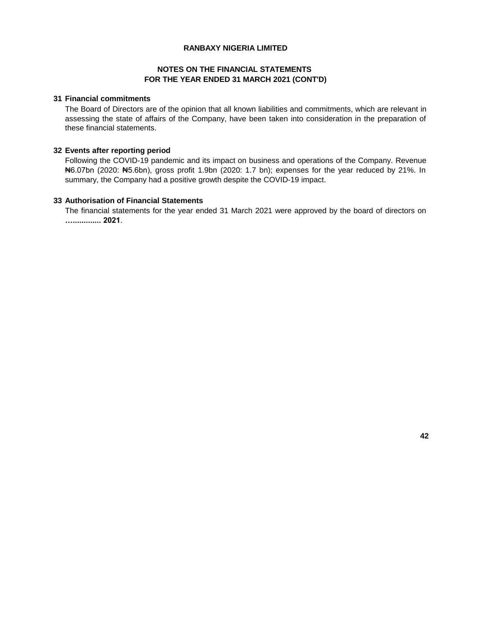# **NOTES ON THE FINANCIAL STATEMENTS FOR THE YEAR ENDED 31 MARCH 2021 (CONT'D)**

## **31 Financial commitments**

The Board of Directors are of the opinion that all known liabilities and commitments, which are relevant in assessing the state of affairs of the Company, have been taken into consideration in the preparation of these financial statements.

# **32 Events after reporting period**

Following the COVID-19 pandemic and its impact on business and operations of the Company. Revenue ₦6.07bn (2020: ₦5.6bn), gross profit 1.9bn (2020: 1.7 bn); expenses for the year reduced by 21%. In summary, the Company had a positive growth despite the COVID-19 impact.

# **33 Authorisation of Financial Statements**

The financial statements for the year ended 31 March 2021 were approved by the board of directors on **…............. 2021**.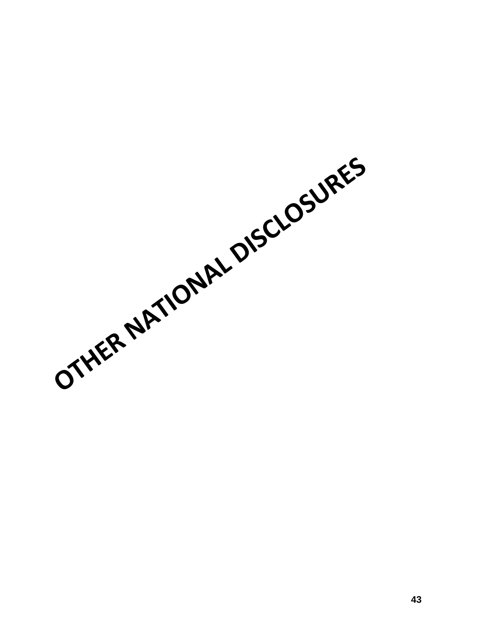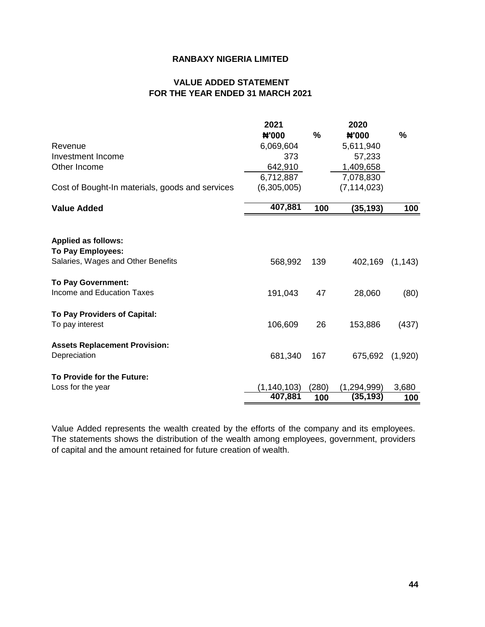# **VALUE ADDED STATEMENT FOR THE YEAR ENDED 31 MARCH 2021**

|                                                 | 2021          |       | 2020          |          |
|-------------------------------------------------|---------------|-------|---------------|----------|
|                                                 | #'000         | $\%$  | #'000         | %        |
| Revenue                                         | 6,069,604     |       | 5,611,940     |          |
| Investment Income                               | 373           |       | 57,233        |          |
| Other Income                                    | 642,910       |       | 1,409,658     |          |
|                                                 | 6,712,887     |       | 7,078,830     |          |
| Cost of Bought-In materials, goods and services | (6,305,005)   |       | (7, 114, 023) |          |
| <b>Value Added</b>                              | 407,881       | 100   | (35, 193)     | 100      |
|                                                 |               |       |               |          |
| Applied as follows:                             |               |       |               |          |
| To Pay Employees:                               |               |       |               |          |
| Salaries, Wages and Other Benefits              | 568,992       | 139   | 402,169       | (1, 143) |
| <b>To Pay Government:</b>                       |               |       |               |          |
| Income and Education Taxes                      | 191,043       | 47    | 28,060        | (80)     |
| <b>To Pay Providers of Capital:</b>             |               |       |               |          |
| To pay interest                                 | 106,609       | 26    | 153,886       | (437)    |
| <b>Assets Replacement Provision:</b>            |               |       |               |          |
| Depreciation                                    | 681,340       | 167   | 675,692       | (1,920)  |
| To Provide for the Future:                      |               |       |               |          |
| Loss for the year                               | (1, 140, 103) | (280) | (1,294,999)   | 3,680    |
|                                                 | 407,881       | 100   | (35, 193)     | 100      |

Value Added represents the wealth created by the efforts of the company and its employees. The statements shows the distribution of the wealth among employees, government, providers of capital and the amount retained for future creation of wealth.